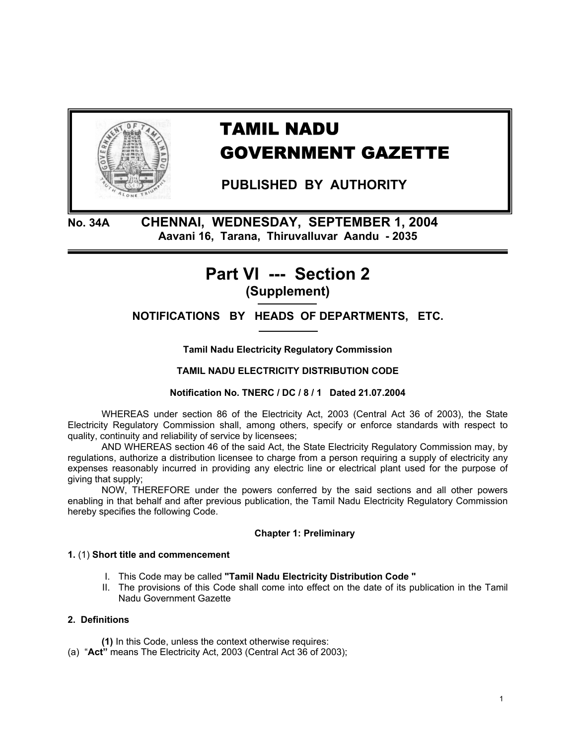

# TAMIL NADU GOVERNMENT GAZETTE

 **PUBLISHED BY AUTHORITY** 

**No. 34A CHENNAI, WEDNESDAY, SEPTEMBER 1, 2004 Aavani 16, Tarana, Thiruvalluvar Aandu - 2035** 

# **Part VI --- Section 2 (Supplement)**

**NOTIFICATIONS BY HEADS OF DEPARTMENTS, ETC.** 

**Tamil Nadu Electricity Regulatory Commission** 

**TAMIL NADU ELECTRICITY DISTRIBUTION CODE** 

**Notification No. TNERC / DC / 8 / 1 Dated 21.07.2004** 

WHEREAS under section 86 of the Electricity Act, 2003 (Central Act 36 of 2003), the State Electricity Regulatory Commission shall, among others, specify or enforce standards with respect to quality, continuity and reliability of service by licensees;

AND WHEREAS section 46 of the said Act, the State Electricity Regulatory Commission may, by regulations, authorize a distribution licensee to charge from a person requiring a supply of electricity any expenses reasonably incurred in providing any electric line or electrical plant used for the purpose of giving that supply;

NOW, THEREFORE under the powers conferred by the said sections and all other powers enabling in that behalf and after previous publication, the Tamil Nadu Electricity Regulatory Commission hereby specifies the following Code.

# **Chapter 1: Preliminary**

# **1.** (1) **Short title and commencement**

- I. This Code may be called **"Tamil Nadu Electricity Distribution Code "**
- II. The provisions of this Code shall come into effect on the date of its publication in the Tamil Nadu Government Gazette

# **2. Definitions**

 **(1)** In this Code, unless the context otherwise requires:

(a) "**Act"** means The Electricity Act, 2003 (Central Act 36 of 2003);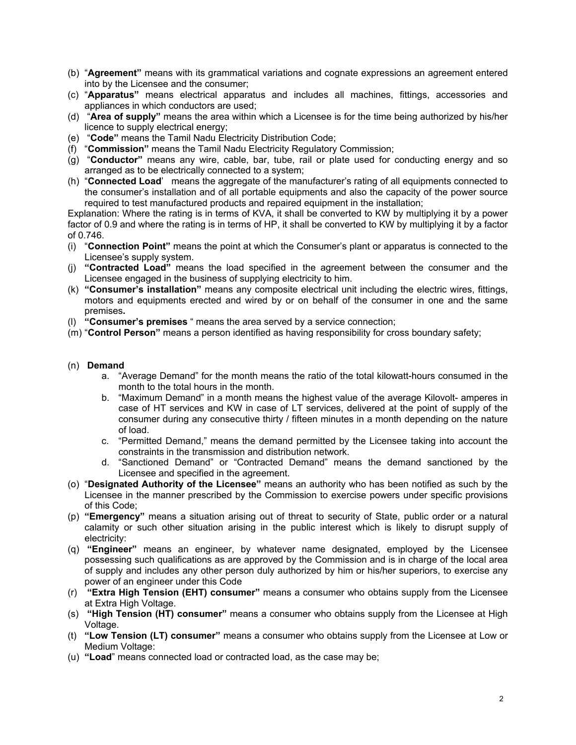- (b) "**Agreement"** means with its grammatical variations and cognate expressions an agreement entered into by the Licensee and the consumer;
- (c) "**Apparatus"** means electrical apparatus and includes all machines, fittings, accessories and appliances in which conductors are used;
- (d) "**Area of supply"** means the area within which a Licensee is for the time being authorized by his/her licence to supply electrical energy;
- (e) "**Code"** means the Tamil Nadu Electricity Distribution Code;
- (f) "**Commission"** means the Tamil Nadu Electricity Regulatory Commission;
- (g) "**Conductor"** means any wire, cable, bar, tube, rail or plate used for conducting energy and so arranged as to be electrically connected to a system;
- (h) "**Connected Load**' means the aggregate of the manufacturer's rating of all equipments connected to the consumer's installation and of all portable equipments and also the capacity of the power source required to test manufactured products and repaired equipment in the installation;

Explanation: Where the rating is in terms of KVA, it shall be converted to KW by multiplying it by a power factor of 0.9 and where the rating is in terms of HP, it shall be converted to KW by multiplying it by a factor of 0.746.

- (i) "**Connection Point"** means the point at which the Consumer's plant or apparatus is connected to the Licensee's supply system.
- (j) **"Contracted Load"** means the load specified in the agreement between the consumer and the Licensee engaged in the business of supplying electricity to him.
- (k) **"Consumer's installation"** means any composite electrical unit including the electric wires, fittings, motors and equipments erected and wired by or on behalf of the consumer in one and the same premises**.**
- (l) **"Consumer's premises** " means the area served by a service connection;
- (m) "**Control Person"** means a person identified as having responsibility for cross boundary safety;

# (n) **Demand**

- a. "Average Demand" for the month means the ratio of the total kilowatt-hours consumed in the month to the total hours in the month.
- b. "Maximum Demand" in a month means the highest value of the average Kilovolt- amperes in case of HT services and KW in case of LT services, delivered at the point of supply of the consumer during any consecutive thirty / fifteen minutes in a month depending on the nature of load.
- c. "Permitted Demand," means the demand permitted by the Licensee taking into account the constraints in the transmission and distribution network.
- d. "Sanctioned Demand" or "Contracted Demand" means the demand sanctioned by the Licensee and specified in the agreement.
- (o) "**Designated Authority of the Licensee"** means an authority who has been notified as such by the Licensee in the manner prescribed by the Commission to exercise powers under specific provisions of this Code;
- (p) **"Emergency"** means a situation arising out of threat to security of State, public order or a natural calamity or such other situation arising in the public interest which is likely to disrupt supply of electricity:
- (q) **"Engineer"** means an engineer, by whatever name designated, employed by the Licensee possessing such qualifications as are approved by the Commission and is in charge of the local area of supply and includes any other person duly authorized by him or his/her superiors, to exercise any power of an engineer under this Code
- (r) **"Extra High Tension (EHT) consumer"** means a consumer who obtains supply from the Licensee at Extra High Voltage.
- (s) **"High Tension (HT) consumer"** means a consumer who obtains supply from the Licensee at High Voltage.
- (t) **"Low Tension (LT) consumer"** means a consumer who obtains supply from the Licensee at Low or Medium Voltage:
- (u) **"Load**" means connected load or contracted load, as the case may be;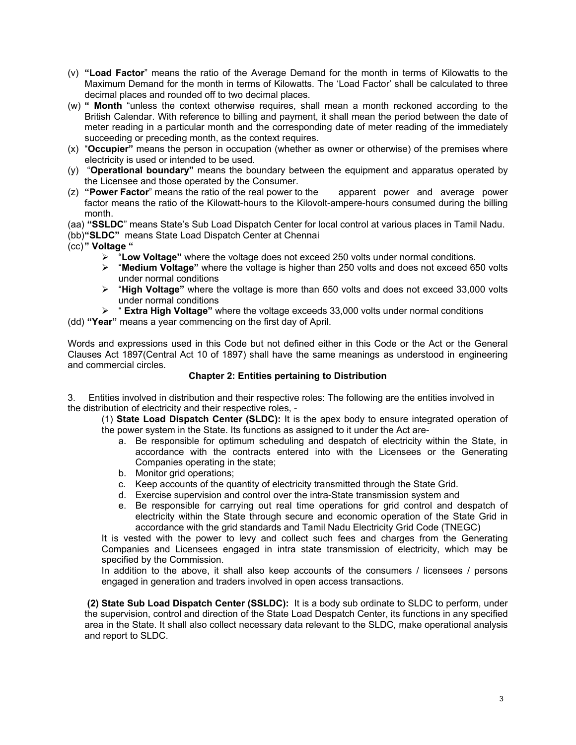- (v) **"Load Factor**" means the ratio of the Average Demand for the month in terms of Kilowatts to the Maximum Demand for the month in terms of Kilowatts. The 'Load Factor' shall be calculated to three decimal places and rounded off to two decimal places.
- (w) **" Month** "unless the context otherwise requires, shall mean a month reckoned according to the British Calendar. With reference to billing and payment, it shall mean the period between the date of meter reading in a particular month and the corresponding date of meter reading of the immediately succeeding or preceding month, as the context requires.
- (x) "**Occupier"** means the person in occupation (whether as owner or otherwise) of the premises where electricity is used or intended to be used.
- (y) "**Operational boundary"** means the boundary between the equipment and apparatus operated by the Licensee and those operated by the Consumer.
- (z) **"Power Factor**" means the ratio of the real power to the apparent power and average power factor means the ratio of the Kilowatt-hours to the Kilovolt-ampere-hours consumed during the billing month.
- (aa) **"SSLDC**" means State's Sub Load Dispatch Center for local control at various places in Tamil Nadu.

(bb) **"SLDC"** means State Load Dispatch Center at Chennai

- (cc) **" Voltage "**
	- ¾ "**Low Voltage"** where the voltage does not exceed 250 volts under normal conditions.
	- ¾ "**Medium Voltage"** where the voltage is higher than 250 volts and does not exceed 650 volts under normal conditions
	- ¾ "**High Voltage"** where the voltage is more than 650 volts and does not exceed 33,000 volts under normal conditions
	- ¾ " **Extra High Voltage"** where the voltage exceeds 33,000 volts under normal conditions

(dd) **"Year"** means a year commencing on the first day of April.

Words and expressions used in this Code but not defined either in this Code or the Act or the General Clauses Act 1897(Central Act 10 of 1897) shall have the same meanings as understood in engineering and commercial circles.

# **Chapter 2: Entities pertaining to Distribution**

3. Entities involved in distribution and their respective roles: The following are the entities involved in the distribution of electricity and their respective roles, -

(1) **State Load Dispatch Center (SLDC):** It is the apex body to ensure integrated operation of the power system in the State. Its functions as assigned to it under the Act are-

- a. Be responsible for optimum scheduling and despatch of electricity within the State, in accordance with the contracts entered into with the Licensees or the Generating Companies operating in the state;
- b. Monitor grid operations;
- c. Keep accounts of the quantity of electricity transmitted through the State Grid.
- d. Exercise supervision and control over the intra-State transmission system and
- e. Be responsible for carrying out real time operations for grid control and despatch of electricity within the State through secure and economic operation of the State Grid in accordance with the grid standards and Tamil Nadu Electricity Grid Code (TNEGC)

It is vested with the power to levy and collect such fees and charges from the Generating Companies and Licensees engaged in intra state transmission of electricity, which may be specified by the Commission.

In addition to the above, it shall also keep accounts of the consumers / licensees / persons engaged in generation and traders involved in open access transactions.

 **(2) State Sub Load Dispatch Center (SSLDC):** It is a body sub ordinate to SLDC to perform, under the supervision, control and direction of the State Load Despatch Center, its functions in any specified area in the State. It shall also collect necessary data relevant to the SLDC, make operational analysis and report to SLDC.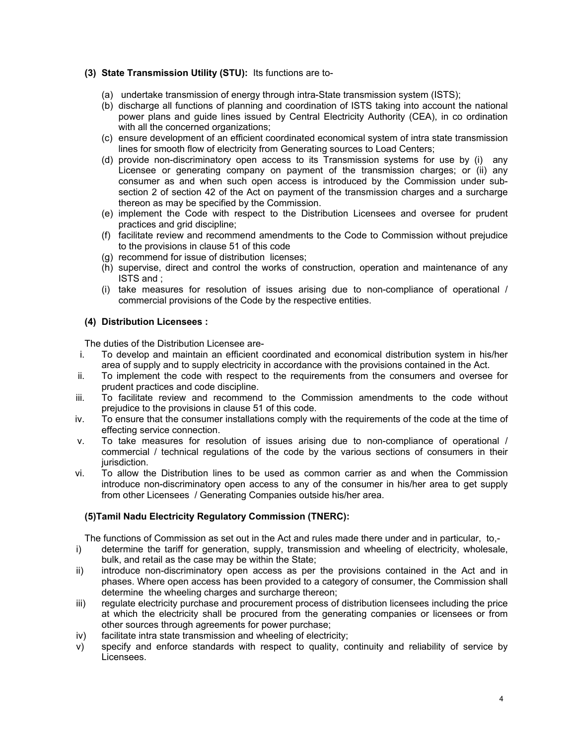# **(3) State Transmission Utility (STU):** Its functions are to-

- (a) undertake transmission of energy through intra-State transmission system (ISTS);
- (b) discharge all functions of planning and coordination of ISTS taking into account the national power plans and guide lines issued by Central Electricity Authority (CEA), in co ordination with all the concerned organizations:
- (c) ensure development of an efficient coordinated economical system of intra state transmission lines for smooth flow of electricity from Generating sources to Load Centers;
- (d) provide non-discriminatory open access to its Transmission systems for use by (i) any Licensee or generating company on payment of the transmission charges; or (ii) any consumer as and when such open access is introduced by the Commission under subsection 2 of section 42 of the Act on payment of the transmission charges and a surcharge thereon as may be specified by the Commission.
- (e) implement the Code with respect to the Distribution Licensees and oversee for prudent practices and grid discipline;
- (f) facilitate review and recommend amendments to the Code to Commission without prejudice to the provisions in clause 51 of this code
- (g) recommend for issue of distribution licenses;
- (h) supervise, direct and control the works of construction, operation and maintenance of any ISTS and ;
- (i) take measures for resolution of issues arising due to non-compliance of operational / commercial provisions of the Code by the respective entities.

# **(4) Distribution Licensees :**

The duties of the Distribution Licensee are-

- i. To develop and maintain an efficient coordinated and economical distribution system in his/her area of supply and to supply electricity in accordance with the provisions contained in the Act.
- ii. To implement the code with respect to the requirements from the consumers and oversee for prudent practices and code discipline.
- iii. To facilitate review and recommend to the Commission amendments to the code without prejudice to the provisions in clause 51 of this code.
- iv. To ensure that the consumer installations comply with the requirements of the code at the time of effecting service connection.
- v. To take measures for resolution of issues arising due to non-compliance of operational / commercial / technical regulations of the code by the various sections of consumers in their jurisdiction.
- vi. To allow the Distribution lines to be used as common carrier as and when the Commission introduce non-discriminatory open access to any of the consumer in his/her area to get supply from other Licensees / Generating Companies outside his/her area.

# **(5)Tamil Nadu Electricity Regulatory Commission (TNERC):**

The functions of Commission as set out in the Act and rules made there under and in particular, to,-

- i) determine the tariff for generation, supply, transmission and wheeling of electricity, wholesale, bulk, and retail as the case may be within the State;
- ii) introduce non-discriminatory open access as per the provisions contained in the Act and in phases. Where open access has been provided to a category of consumer, the Commission shall determine the wheeling charges and surcharge thereon;
- iii) regulate electricity purchase and procurement process of distribution licensees including the price at which the electricity shall be procured from the generating companies or licensees or from other sources through agreements for power purchase;
- iv) facilitate intra state transmission and wheeling of electricity;
- v) specify and enforce standards with respect to quality, continuity and reliability of service by Licensees.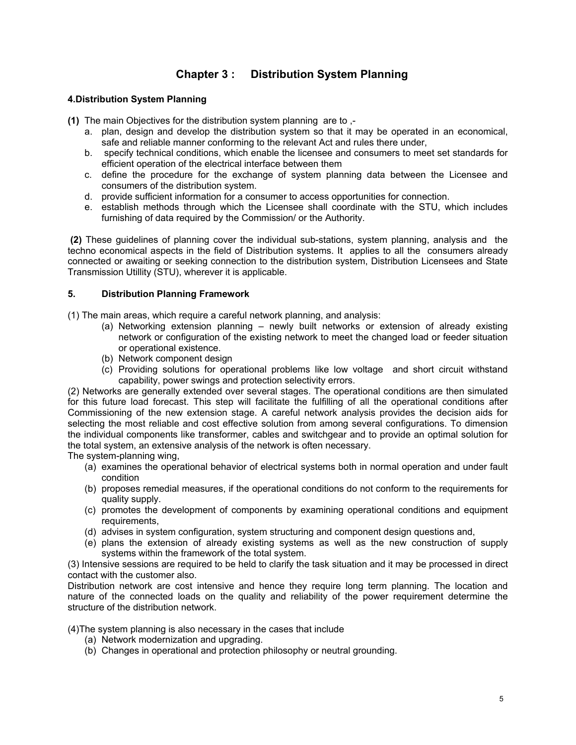# **Chapter 3 : Distribution System Planning**

# **4.Distribution System Planning**

- **(1)** The main Objectives for the distribution system planning are to ,
	- a. plan, design and develop the distribution system so that it may be operated in an economical, safe and reliable manner conforming to the relevant Act and rules there under,
	- b. specify technical conditions, which enable the licensee and consumers to meet set standards for efficient operation of the electrical interface between them
	- c. define the procedure for the exchange of system planning data between the Licensee and consumers of the distribution system.
	- d. provide sufficient information for a consumer to access opportunities for connection.
	- e. establish methods through which the Licensee shall coordinate with the STU, which includes furnishing of data required by the Commission/ or the Authority.

 **(2)** These guidelines of planning cover the individual sub-stations, system planning, analysis and the techno economical aspects in the field of Distribution systems. It applies to all the consumers already connected or awaiting or seeking connection to the distribution system, Distribution Licensees and State Transmission Utillity (STU), wherever it is applicable.

# **5. Distribution Planning Framework**

(1) The main areas, which require a careful network planning, and analysis:

- (a) Networking extension planning newly built networks or extension of already existing network or configuration of the existing network to meet the changed load or feeder situation or operational existence.
- (b) Network component design
- (c) Providing solutions for operational problems like low voltage and short circuit withstand capability, power swings and protection selectivity errors.

(2) Networks are generally extended over several stages. The operational conditions are then simulated for this future load forecast. This step will facilitate the fulfilling of all the operational conditions after Commissioning of the new extension stage. A careful network analysis provides the decision aids for selecting the most reliable and cost effective solution from among several configurations. To dimension the individual components like transformer, cables and switchgear and to provide an optimal solution for the total system, an extensive analysis of the network is often necessary.

The system-planning wing,

- (a) examines the operational behavior of electrical systems both in normal operation and under fault condition
- (b) proposes remedial measures, if the operational conditions do not conform to the requirements for quality supply.
- (c) promotes the development of components by examining operational conditions and equipment requirements.
- (d) advises in system configuration, system structuring and component design questions and,
- (e) plans the extension of already existing systems as well as the new construction of supply systems within the framework of the total system.

(3) Intensive sessions are required to be held to clarify the task situation and it may be processed in direct contact with the customer also.

Distribution network are cost intensive and hence they require long term planning. The location and nature of the connected loads on the quality and reliability of the power requirement determine the structure of the distribution network.

(4)The system planning is also necessary in the cases that include

- (a) Network modernization and upgrading.
- (b) Changes in operational and protection philosophy or neutral grounding.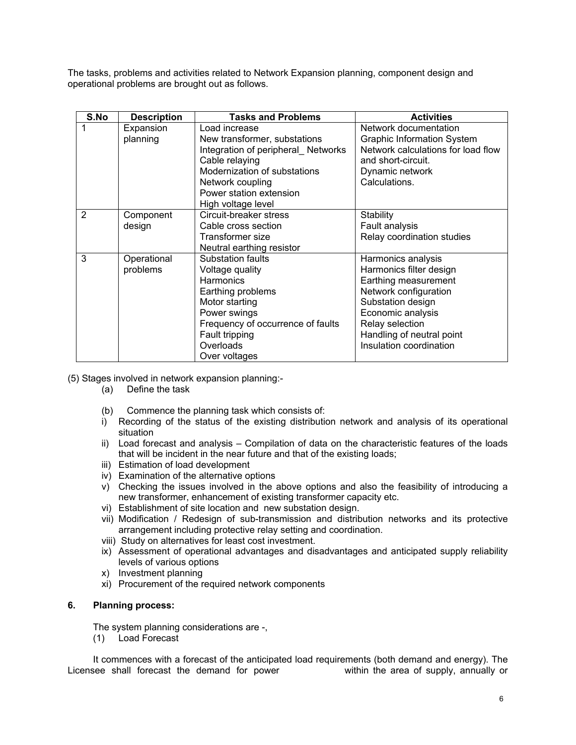The tasks, problems and activities related to Network Expansion planning, component design and operational problems are brought out as follows.

| S.No           | <b>Description</b>      | <b>Tasks and Problems</b>                                                                                                                                                                                   | <b>Activities</b>                                                                                                                                                                                                   |
|----------------|-------------------------|-------------------------------------------------------------------------------------------------------------------------------------------------------------------------------------------------------------|---------------------------------------------------------------------------------------------------------------------------------------------------------------------------------------------------------------------|
| 1              | Expansion<br>planning   | Load increase<br>New transformer, substations<br>Integration of peripheral_ Networks<br>Cable relaying<br>Modernization of substations<br>Network coupling<br>Power station extension<br>High voltage level | Network documentation<br><b>Graphic Information System</b><br>Network calculations for load flow<br>and short-circuit.<br>Dynamic network<br>Calculations.                                                          |
| $\mathfrak{p}$ | Component<br>design     | Circuit-breaker stress<br>Cable cross section<br>Transformer size<br>Neutral earthing resistor                                                                                                              | Stability<br>Fault analysis<br>Relay coordination studies                                                                                                                                                           |
| 3              | Operational<br>problems | Substation faults<br>Voltage quality<br><b>Harmonics</b><br>Earthing problems<br>Motor starting<br>Power swings<br>Frequency of occurrence of faults<br>Fault tripping<br>Overloads<br>Over voltages        | Harmonics analysis<br>Harmonics filter design<br>Earthing measurement<br>Network configuration<br>Substation design<br>Economic analysis<br>Relay selection<br>Handling of neutral point<br>Insulation coordination |

(5) Stages involved in network expansion planning:-

- (a) Define the task
- (b) Commence the planning task which consists of:
- i) Recording of the status of the existing distribution network and analysis of its operational situation
- ii) Load forecast and analysis Compilation of data on the characteristic features of the loads that will be incident in the near future and that of the existing loads;
- iii) Estimation of load development
- iv) Examination of the alternative options
- v) Checking the issues involved in the above options and also the feasibility of introducing a new transformer, enhancement of existing transformer capacity etc.
- vi) Establishment of site location and new substation design.
- vii) Modification / Redesign of sub-transmission and distribution networks and its protective arrangement including protective relay setting and coordination.
- viii) Study on alternatives for least cost investment.
- ix) Assessment of operational advantages and disadvantages and anticipated supply reliability levels of various options
- x) Investment planning
- xi) Procurement of the required network components
- **6. Planning process:**

The system planning considerations are -,

(1) Load Forecast

It commences with a forecast of the anticipated load requirements (both demand and energy). The Licensee shall forecast the demand for power within the area of supply, annually or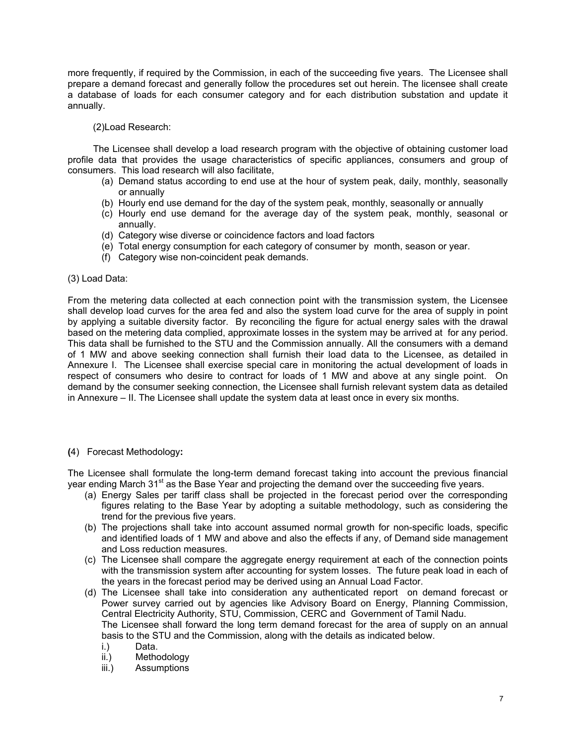more frequently, if required by the Commission, in each of the succeeding five years. The Licensee shall prepare a demand forecast and generally follow the procedures set out herein. The licensee shall create a database of loads for each consumer category and for each distribution substation and update it annually.

# (2)Load Research:

The Licensee shall develop a load research program with the objective of obtaining customer load profile data that provides the usage characteristics of specific appliances, consumers and group of consumers. This load research will also facilitate,

- (a) Demand status according to end use at the hour of system peak, daily, monthly, seasonally or annually
- (b) Hourly end use demand for the day of the system peak, monthly, seasonally or annually
- (c) Hourly end use demand for the average day of the system peak, monthly, seasonal or annually.
- (d) Category wise diverse or coincidence factors and load factors
- (e) Total energy consumption for each category of consumer by month, season or year.
- (f) Category wise non-coincident peak demands.

# (3) Load Data:

From the metering data collected at each connection point with the transmission system, the Licensee shall develop load curves for the area fed and also the system load curve for the area of supply in point by applying a suitable diversity factor. By reconciling the figure for actual energy sales with the drawal based on the metering data complied, approximate losses in the system may be arrived at for any period. This data shall be furnished to the STU and the Commission annually. All the consumers with a demand of 1 MW and above seeking connection shall furnish their load data to the Licensee, as detailed in Annexure I. The Licensee shall exercise special care in monitoring the actual development of loads in respect of consumers who desire to contract for loads of 1 MW and above at any single point. On demand by the consumer seeking connection, the Licensee shall furnish relevant system data as detailed in Annexure – II. The Licensee shall update the system data at least once in every six months.

# **(**4) Forecast Methodology**:**

The Licensee shall formulate the long-term demand forecast taking into account the previous financial year ending March 31<sup>st</sup> as the Base Year and projecting the demand over the succeeding five years.

- (a) Energy Sales per tariff class shall be projected in the forecast period over the corresponding figures relating to the Base Year by adopting a suitable methodology, such as considering the trend for the previous five years.
- (b) The projections shall take into account assumed normal growth for non-specific loads, specific and identified loads of 1 MW and above and also the effects if any, of Demand side management and Loss reduction measures.
- (c) The Licensee shall compare the aggregate energy requirement at each of the connection points with the transmission system after accounting for system losses. The future peak load in each of the years in the forecast period may be derived using an Annual Load Factor.
- (d) The Licensee shall take into consideration any authenticated report on demand forecast or Power survey carried out by agencies like Advisory Board on Energy, Planning Commission, Central Electricity Authority, STU, Commission, CERC and Government of Tamil Nadu.

The Licensee shall forward the long term demand forecast for the area of supply on an annual basis to the STU and the Commission, along with the details as indicated below.<br>i.) Data.

- Data.
- ii.) Methodology
- iii.) Assumptions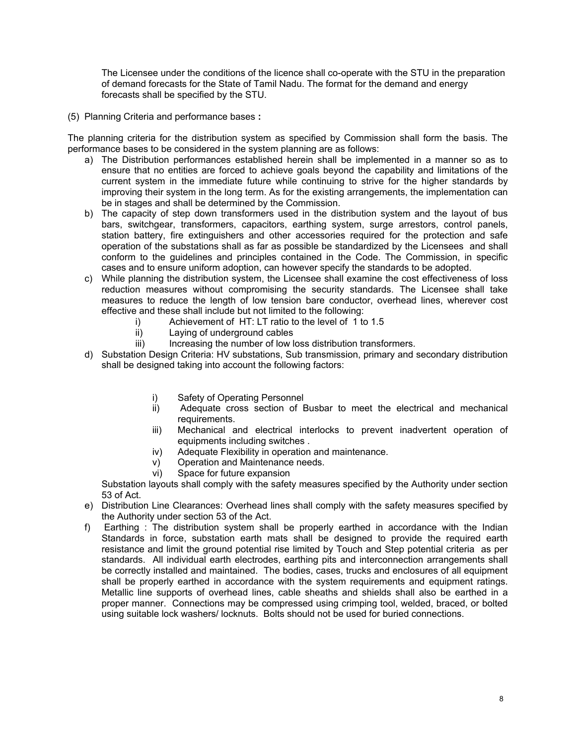The Licensee under the conditions of the licence shall co-operate with the STU in the preparation of demand forecasts for the State of Tamil Nadu. The format for the demand and energy forecasts shall be specified by the STU.

(5) Planning Criteria and performance bases **:** 

The planning criteria for the distribution system as specified by Commission shall form the basis. The performance bases to be considered in the system planning are as follows:

- a) The Distribution performances established herein shall be implemented in a manner so as to ensure that no entities are forced to achieve goals beyond the capability and limitations of the current system in the immediate future while continuing to strive for the higher standards by improving their system in the long term. As for the existing arrangements, the implementation can be in stages and shall be determined by the Commission.
- b) The capacity of step down transformers used in the distribution system and the layout of bus bars, switchgear, transformers, capacitors, earthing system, surge arrestors, control panels, station battery, fire extinguishers and other accessories required for the protection and safe operation of the substations shall as far as possible be standardized by the Licensees and shall conform to the guidelines and principles contained in the Code. The Commission, in specific cases and to ensure uniform adoption, can however specify the standards to be adopted.
- c) While planning the distribution system, the Licensee shall examine the cost effectiveness of loss reduction measures without compromising the security standards. The Licensee shall take measures to reduce the length of low tension bare conductor, overhead lines, wherever cost effective and these shall include but not limited to the following:
	- i) Achievement of HT: LT ratio to the level of 1 to 1.5
	- ii) Laying of underground cables
	- iii) Increasing the number of low loss distribution transformers.
- d) Substation Design Criteria: HV substations, Sub transmission, primary and secondary distribution shall be designed taking into account the following factors:
	- i) Safety of Operating Personnel
	- ii) Adequate cross section of Busbar to meet the electrical and mechanical requirements.
	- iii) Mechanical and electrical interlocks to prevent inadvertent operation of equipments including switches .
	- iv) Adequate Flexibility in operation and maintenance.
	- v) Operation and Maintenance needs.
	- vi) Space for future expansion

Substation layouts shall comply with the safety measures specified by the Authority under section 53 of Act.

- e) Distribution Line Clearances: Overhead lines shall comply with the safety measures specified by the Authority under section 53 of the Act.
- f) Earthing : The distribution system shall be properly earthed in accordance with the Indian Standards in force, substation earth mats shall be designed to provide the required earth resistance and limit the ground potential rise limited by Touch and Step potential criteria as per standards. All individual earth electrodes, earthing pits and interconnection arrangements shall be correctly installed and maintained. The bodies, cases, trucks and enclosures of all equipment shall be properly earthed in accordance with the system requirements and equipment ratings. Metallic line supports of overhead lines, cable sheaths and shields shall also be earthed in a proper manner. Connections may be compressed using crimping tool, welded, braced, or bolted using suitable lock washers/ locknuts. Bolts should not be used for buried connections.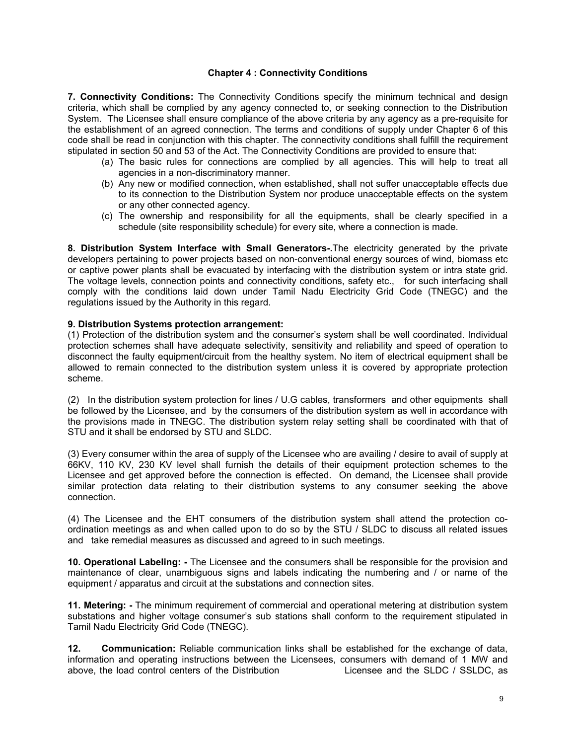# **Chapter 4 : Connectivity Conditions**

**7. Connectivity Conditions:** The Connectivity Conditions specify the minimum technical and design criteria, which shall be complied by any agency connected to, or seeking connection to the Distribution System. The Licensee shall ensure compliance of the above criteria by any agency as a pre-requisite for the establishment of an agreed connection. The terms and conditions of supply under Chapter 6 of this code shall be read in conjunction with this chapter. The connectivity conditions shall fulfill the requirement stipulated in section 50 and 53 of the Act. The Connectivity Conditions are provided to ensure that:

- (a) The basic rules for connections are complied by all agencies. This will help to treat all agencies in a non-discriminatory manner.
- (b) Any new or modified connection, when established, shall not suffer unacceptable effects due to its connection to the Distribution System nor produce unacceptable effects on the system or any other connected agency.
- (c) The ownership and responsibility for all the equipments, shall be clearly specified in a schedule (site responsibility schedule) for every site, where a connection is made.

**8. Distribution System Interface with Small Generators-.**The electricity generated by the private developers pertaining to power projects based on non-conventional energy sources of wind, biomass etc or captive power plants shall be evacuated by interfacing with the distribution system or intra state grid. The voltage levels, connection points and connectivity conditions, safety etc., for such interfacing shall comply with the conditions laid down under Tamil Nadu Electricity Grid Code (TNEGC) and the regulations issued by the Authority in this regard.

# **9. Distribution Systems protection arrangement:**

(1) Protection of the distribution system and the consumer's system shall be well coordinated. Individual protection schemes shall have adequate selectivity, sensitivity and reliability and speed of operation to disconnect the faulty equipment/circuit from the healthy system. No item of electrical equipment shall be allowed to remain connected to the distribution system unless it is covered by appropriate protection scheme.

(2) In the distribution system protection for lines / U.G cables, transformers and other equipments shall be followed by the Licensee, and by the consumers of the distribution system as well in accordance with the provisions made in TNEGC. The distribution system relay setting shall be coordinated with that of STU and it shall be endorsed by STU and SLDC.

(3) Every consumer within the area of supply of the Licensee who are availing / desire to avail of supply at 66KV, 110 KV, 230 KV level shall furnish the details of their equipment protection schemes to the Licensee and get approved before the connection is effected. On demand, the Licensee shall provide similar protection data relating to their distribution systems to any consumer seeking the above connection.

(4) The Licensee and the EHT consumers of the distribution system shall attend the protection coordination meetings as and when called upon to do so by the STU / SLDC to discuss all related issues and take remedial measures as discussed and agreed to in such meetings.

**10. Operational Labeling: -** The Licensee and the consumers shall be responsible for the provision and maintenance of clear, unambiguous signs and labels indicating the numbering and / or name of the equipment / apparatus and circuit at the substations and connection sites.

**11. Metering: -** The minimum requirement of commercial and operational metering at distribution system substations and higher voltage consumer's sub stations shall conform to the requirement stipulated in Tamil Nadu Electricity Grid Code (TNEGC).

**12. Communication:** Reliable communication links shall be established for the exchange of data, information and operating instructions between the Licensees, consumers with demand of 1 MW and above, the load control centers of the Distribution Licensee and the SLDC / SSLDC, as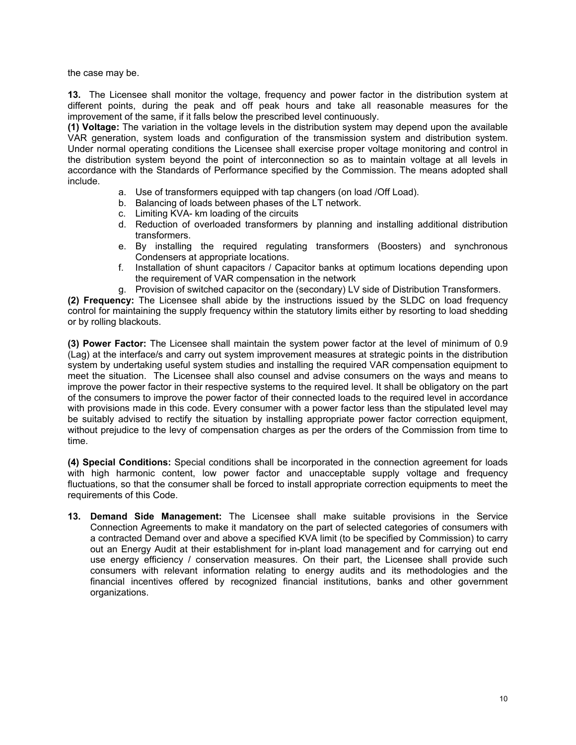the case may be.

**13.** The Licensee shall monitor the voltage, frequency and power factor in the distribution system at different points, during the peak and off peak hours and take all reasonable measures for the improvement of the same, if it falls below the prescribed level continuously.

**(1) Voltage:** The variation in the voltage levels in the distribution system may depend upon the available VAR generation, system loads and configuration of the transmission system and distribution system. Under normal operating conditions the Licensee shall exercise proper voltage monitoring and control in the distribution system beyond the point of interconnection so as to maintain voltage at all levels in accordance with the Standards of Performance specified by the Commission. The means adopted shall include.

- a. Use of transformers equipped with tap changers (on load /Off Load).
- b. Balancing of loads between phases of the LT network.
- c. Limiting KVA- km loading of the circuits
- d. Reduction of overloaded transformers by planning and installing additional distribution transformers.
- e. By installing the required regulating transformers (Boosters) and synchronous Condensers at appropriate locations.
- f. Installation of shunt capacitors / Capacitor banks at optimum locations depending upon the requirement of VAR compensation in the network
- g. Provision of switched capacitor on the (secondary) LV side of Distribution Transformers.

**(2) Frequency:** The Licensee shall abide by the instructions issued by the SLDC on load frequency control for maintaining the supply frequency within the statutory limits either by resorting to load shedding or by rolling blackouts.

**(3) Power Factor:** The Licensee shall maintain the system power factor at the level of minimum of 0.9 (Lag) at the interface/s and carry out system improvement measures at strategic points in the distribution system by undertaking useful system studies and installing the required VAR compensation equipment to meet the situation. The Licensee shall also counsel and advise consumers on the ways and means to improve the power factor in their respective systems to the required level. It shall be obligatory on the part of the consumers to improve the power factor of their connected loads to the required level in accordance with provisions made in this code. Every consumer with a power factor less than the stipulated level may be suitably advised to rectify the situation by installing appropriate power factor correction equipment, without prejudice to the levy of compensation charges as per the orders of the Commission from time to time.

**(4) Special Conditions:** Special conditions shall be incorporated in the connection agreement for loads with high harmonic content, low power factor and unacceptable supply voltage and frequency fluctuations, so that the consumer shall be forced to install appropriate correction equipments to meet the requirements of this Code.

**13. Demand Side Management:** The Licensee shall make suitable provisions in the Service Connection Agreements to make it mandatory on the part of selected categories of consumers with a contracted Demand over and above a specified KVA limit (to be specified by Commission) to carry out an Energy Audit at their establishment for in-plant load management and for carrying out end use energy efficiency / conservation measures. On their part, the Licensee shall provide such consumers with relevant information relating to energy audits and its methodologies and the financial incentives offered by recognized financial institutions, banks and other government organizations.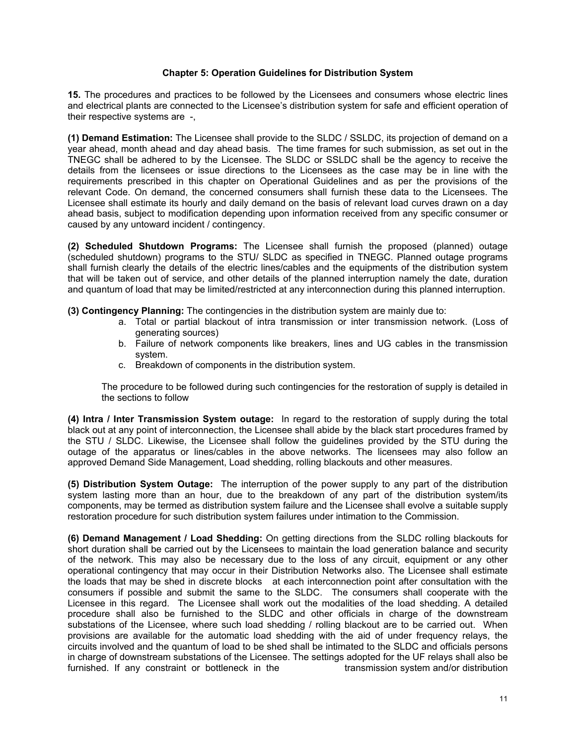# **Chapter 5: Operation Guidelines for Distribution System**

**15.** The procedures and practices to be followed by the Licensees and consumers whose electric lines and electrical plants are connected to the Licensee's distribution system for safe and efficient operation of their respective systems are -,

**(1) Demand Estimation:** The Licensee shall provide to the SLDC / SSLDC, its projection of demand on a year ahead, month ahead and day ahead basis. The time frames for such submission, as set out in the TNEGC shall be adhered to by the Licensee. The SLDC or SSLDC shall be the agency to receive the details from the licensees or issue directions to the Licensees as the case may be in line with the requirements prescribed in this chapter on Operational Guidelines and as per the provisions of the relevant Code. On demand, the concerned consumers shall furnish these data to the Licensees. The Licensee shall estimate its hourly and daily demand on the basis of relevant load curves drawn on a day ahead basis, subject to modification depending upon information received from any specific consumer or caused by any untoward incident / contingency.

**(2) Scheduled Shutdown Programs:** The Licensee shall furnish the proposed (planned) outage (scheduled shutdown) programs to the STU/ SLDC as specified in TNEGC. Planned outage programs shall furnish clearly the details of the electric lines/cables and the equipments of the distribution system that will be taken out of service, and other details of the planned interruption namely the date, duration and quantum of load that may be limited/restricted at any interconnection during this planned interruption.

**(3) Contingency Planning:** The contingencies in the distribution system are mainly due to:

- a. Total or partial blackout of intra transmission or inter transmission network. (Loss of generating sources)
- b. Failure of network components like breakers, lines and UG cables in the transmission system.
- c. Breakdown of components in the distribution system.

The procedure to be followed during such contingencies for the restoration of supply is detailed in the sections to follow

**(4) Intra / Inter Transmission System outage:** In regard to the restoration of supply during the total black out at any point of interconnection, the Licensee shall abide by the black start procedures framed by the STU / SLDC. Likewise, the Licensee shall follow the guidelines provided by the STU during the outage of the apparatus or lines/cables in the above networks. The licensees may also follow an approved Demand Side Management, Load shedding, rolling blackouts and other measures.

**(5) Distribution System Outage:** The interruption of the power supply to any part of the distribution system lasting more than an hour, due to the breakdown of any part of the distribution system/its components, may be termed as distribution system failure and the Licensee shall evolve a suitable supply restoration procedure for such distribution system failures under intimation to the Commission.

**(6) Demand Management / Load Shedding:** On getting directions from the SLDC rolling blackouts for short duration shall be carried out by the Licensees to maintain the load generation balance and security of the network. This may also be necessary due to the loss of any circuit, equipment or any other operational contingency that may occur in their Distribution Networks also. The Licensee shall estimate the loads that may be shed in discrete blocks at each interconnection point after consultation with the consumers if possible and submit the same to the SLDC. The consumers shall cooperate with the Licensee in this regard. The Licensee shall work out the modalities of the load shedding. A detailed procedure shall also be furnished to the SLDC and other officials in charge of the downstream substations of the Licensee, where such load shedding / rolling blackout are to be carried out. When provisions are available for the automatic load shedding with the aid of under frequency relays, the circuits involved and the quantum of load to be shed shall be intimated to the SLDC and officials persons in charge of downstream substations of the Licensee. The settings adopted for the UF relays shall also be furnished. If any constraint or bottleneck in the transmission system and/or distribution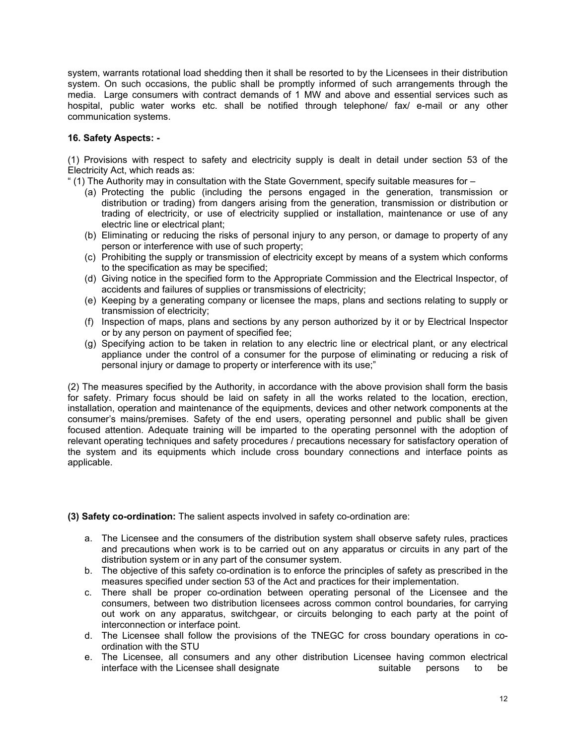system, warrants rotational load shedding then it shall be resorted to by the Licensees in their distribution system. On such occasions, the public shall be promptly informed of such arrangements through the media. Large consumers with contract demands of 1 MW and above and essential services such as hospital, public water works etc. shall be notified through telephone/ fax/ e-mail or any other communication systems.

# **16. Safety Aspects: -**

(1) Provisions with respect to safety and electricity supply is dealt in detail under section 53 of the Electricity Act, which reads as:

" (1) The Authority may in consultation with the State Government, specify suitable measures for –

- (a) Protecting the public (including the persons engaged in the generation, transmission or distribution or trading) from dangers arising from the generation, transmission or distribution or trading of electricity, or use of electricity supplied or installation, maintenance or use of any electric line or electrical plant;
- (b) Eliminating or reducing the risks of personal injury to any person, or damage to property of any person or interference with use of such property;
- (c) Prohibiting the supply or transmission of electricity except by means of a system which conforms to the specification as may be specified;
- (d) Giving notice in the specified form to the Appropriate Commission and the Electrical Inspector, of accidents and failures of supplies or transmissions of electricity;
- (e) Keeping by a generating company or licensee the maps, plans and sections relating to supply or transmission of electricity;
- (f) Inspection of maps, plans and sections by any person authorized by it or by Electrical Inspector or by any person on payment of specified fee;
- (g) Specifying action to be taken in relation to any electric line or electrical plant, or any electrical appliance under the control of a consumer for the purpose of eliminating or reducing a risk of personal injury or damage to property or interference with its use;"

(2) The measures specified by the Authority, in accordance with the above provision shall form the basis for safety. Primary focus should be laid on safety in all the works related to the location, erection, installation, operation and maintenance of the equipments, devices and other network components at the consumer's mains/premises. Safety of the end users, operating personnel and public shall be given focused attention. Adequate training will be imparted to the operating personnel with the adoption of relevant operating techniques and safety procedures / precautions necessary for satisfactory operation of the system and its equipments which include cross boundary connections and interface points as applicable.

**(3) Safety co-ordination:** The salient aspects involved in safety co-ordination are:

- a. The Licensee and the consumers of the distribution system shall observe safety rules, practices and precautions when work is to be carried out on any apparatus or circuits in any part of the distribution system or in any part of the consumer system.
- b. The objective of this safety co-ordination is to enforce the principles of safety as prescribed in the measures specified under section 53 of the Act and practices for their implementation.
- c. There shall be proper co-ordination between operating personal of the Licensee and the consumers, between two distribution licensees across common control boundaries, for carrying out work on any apparatus, switchgear, or circuits belonging to each party at the point of interconnection or interface point.
- d. The Licensee shall follow the provisions of the TNEGC for cross boundary operations in coordination with the STU
- e. The Licensee, all consumers and any other distribution Licensee having common electrical interface with the Licensee shall designate suitable persons to be suitable persons to be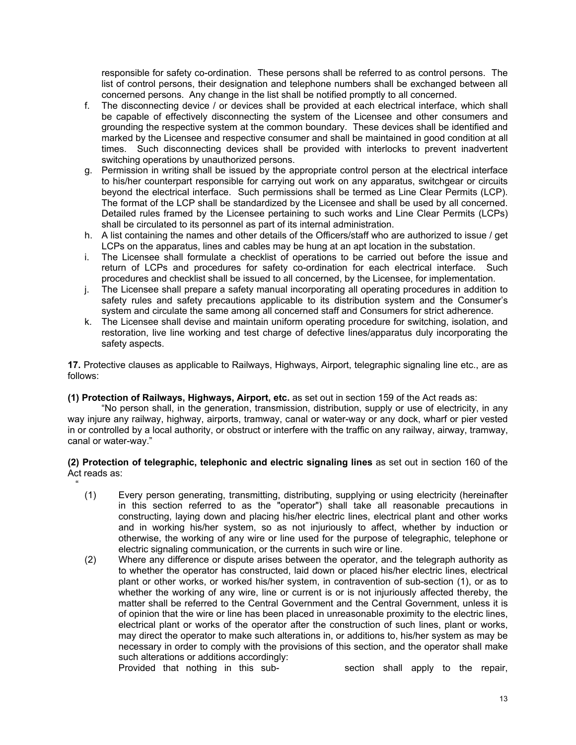responsible for safety co-ordination. These persons shall be referred to as control persons. The list of control persons, their designation and telephone numbers shall be exchanged between all concerned persons. Any change in the list shall be notified promptly to all concerned.

- f. The disconnecting device / or devices shall be provided at each electrical interface, which shall be capable of effectively disconnecting the system of the Licensee and other consumers and grounding the respective system at the common boundary. These devices shall be identified and marked by the Licensee and respective consumer and shall be maintained in good condition at all times. Such disconnecting devices shall be provided with interlocks to prevent inadvertent switching operations by unauthorized persons.
- g. Permission in writing shall be issued by the appropriate control person at the electrical interface to his/her counterpart responsible for carrying out work on any apparatus, switchgear or circuits beyond the electrical interface. Such permissions shall be termed as Line Clear Permits (LCP). The format of the LCP shall be standardized by the Licensee and shall be used by all concerned. Detailed rules framed by the Licensee pertaining to such works and Line Clear Permits (LCPs) shall be circulated to its personnel as part of its internal administration.
- h. A list containing the names and other details of the Officers/staff who are authorized to issue / get LCPs on the apparatus, lines and cables may be hung at an apt location in the substation.
- i. The Licensee shall formulate a checklist of operations to be carried out before the issue and return of LCPs and procedures for safety co-ordination for each electrical interface. Such procedures and checklist shall be issued to all concerned, by the Licensee, for implementation.
- j. The Licensee shall prepare a safety manual incorporating all operating procedures in addition to safety rules and safety precautions applicable to its distribution system and the Consumer's system and circulate the same among all concerned staff and Consumers for strict adherence.
- k. The Licensee shall devise and maintain uniform operating procedure for switching, isolation, and restoration, live line working and test charge of defective lines/apparatus duly incorporating the safety aspects.

**17.** Protective clauses as applicable to Railways, Highways, Airport, telegraphic signaling line etc., are as follows:

# **(1) Protection of Railways, Highways, Airport, etc.** as set out in section 159 of the Act reads as:

"No person shall, in the generation, transmission, distribution, supply or use of electricity, in any way injure any railway, highway, airports, tramway, canal or water-way or any dock, wharf or pier vested in or controlled by a local authority, or obstruct or interfere with the traffic on any railway, airway, tramway, canal or water-way."

# **(2) Protection of telegraphic, telephonic and electric signaling lines** as set out in section 160 of the Act reads as:

- (1) Every person generating, transmitting, distributing, supplying or using electricity (hereinafter in this section referred to as the "operator") shall take all reasonable precautions in constructing, laying down and placing his/her electric lines, electrical plant and other works and in working his/her system, so as not injuriously to affect, whether by induction or otherwise, the working of any wire or line used for the purpose of telegraphic, telephone or electric signaling communication, or the currents in such wire or line.
- (2) Where any difference or dispute arises between the operator, and the telegraph authority as to whether the operator has constructed, laid down or placed his/her electric lines, electrical plant or other works, or worked his/her system, in contravention of sub-section (1), or as to whether the working of any wire, line or current is or is not injuriously affected thereby, the matter shall be referred to the Central Government and the Central Government, unless it is of opinion that the wire or line has been placed in unreasonable proximity to the electric lines, electrical plant or works of the operator after the construction of such lines, plant or works, may direct the operator to make such alterations in, or additions to, his/her system as may be necessary in order to comply with the provisions of this section, and the operator shall make such alterations or additions accordingly:

"

Provided that nothing in this sub-<br>
Section shall apply to the repair,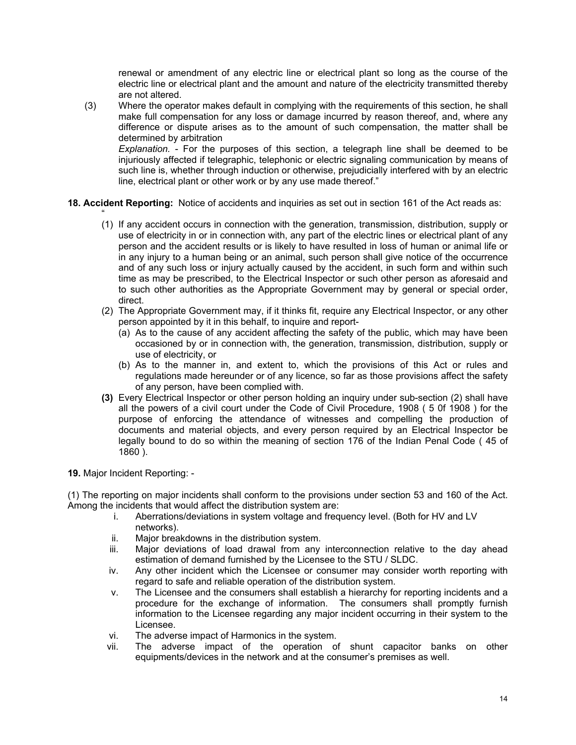renewal or amendment of any electric line or electrical plant so long as the course of the electric line or electrical plant and the amount and nature of the electricity transmitted thereby are not altered.

(3) Where the operator makes default in complying with the requirements of this section, he shall make full compensation for any loss or damage incurred by reason thereof, and, where any difference or dispute arises as to the amount of such compensation, the matter shall be determined by arbitration *Explanation.* - For the purposes of this section, a telegraph line shall be deemed to be

injuriously affected if telegraphic, telephonic or electric signaling communication by means of such line is, whether through induction or otherwise, prejudicially interfered with by an electric line, electrical plant or other work or by any use made thereof."

- **18. Accident Reporting:** Notice of accidents and inquiries as set out in section 161 of the Act reads as:
	- " (1) If any accident occurs in connection with the generation, transmission, distribution, supply or use of electricity in or in connection with, any part of the electric lines or electrical plant of any person and the accident results or is likely to have resulted in loss of human or animal life or in any injury to a human being or an animal, such person shall give notice of the occurrence and of any such loss or injury actually caused by the accident, in such form and within such time as may be prescribed, to the Electrical Inspector or such other person as aforesaid and to such other authorities as the Appropriate Government may by general or special order, direct.
	- (2) The Appropriate Government may, if it thinks fit, require any Electrical Inspector, or any other person appointed by it in this behalf, to inquire and report-
		- (a) As to the cause of any accident affecting the safety of the public, which may have been occasioned by or in connection with, the generation, transmission, distribution, supply or use of electricity, or
		- (b) As to the manner in, and extent to, which the provisions of this Act or rules and regulations made hereunder or of any licence, so far as those provisions affect the safety of any person, have been complied with.
	- **(3)** Every Electrical Inspector or other person holding an inquiry under sub-section (2) shall have all the powers of a civil court under the Code of Civil Procedure, 1908 ( 5 0f 1908 ) for the purpose of enforcing the attendance of witnesses and compelling the production of documents and material objects, and every person required by an Electrical Inspector be legally bound to do so within the meaning of section 176 of the Indian Penal Code ( 45 of 1860 ).

**19.** Major Incident Reporting: -

(1) The reporting on major incidents shall conform to the provisions under section 53 and 160 of the Act. Among the incidents that would affect the distribution system are:

- i. Aberrations/deviations in system voltage and frequency level. (Both for HV and LV networks).
- ii. Major breakdowns in the distribution system.
- iii. Major deviations of load drawal from any interconnection relative to the day ahead estimation of demand furnished by the Licensee to the STU / SLDC.
- iv. Any other incident which the Licensee or consumer may consider worth reporting with regard to safe and reliable operation of the distribution system.
- v. The Licensee and the consumers shall establish a hierarchy for reporting incidents and a procedure for the exchange of information. The consumers shall promptly furnish information to the Licensee regarding any major incident occurring in their system to the Licensee.
- vi. The adverse impact of Harmonics in the system.
- vii. The adverse impact of the operation of shunt capacitor banks on other equipments/devices in the network and at the consumer's premises as well.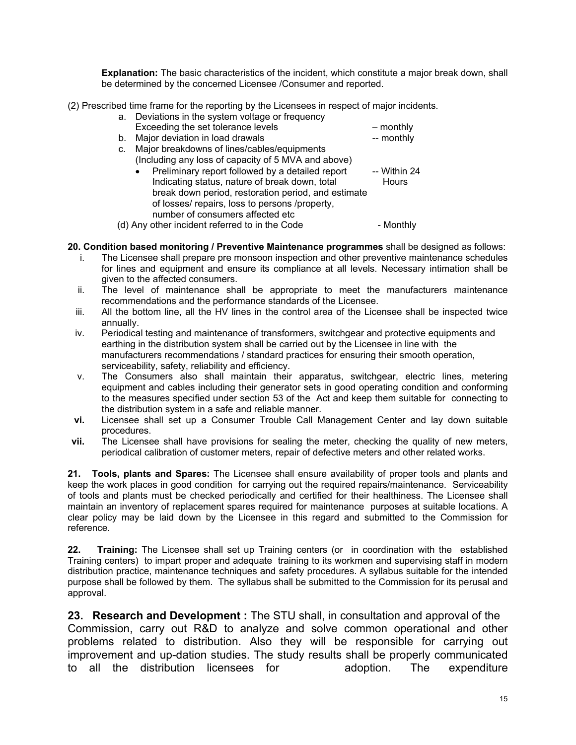**Explanation:** The basic characteristics of the incident, which constitute a major break down, shall be determined by the concerned Licensee /Consumer and reported.

(2) Prescribed time frame for the reporting by the Licensees in respect of major incidents.

- a. Deviations in the system voltage or frequency
- Exceeding the set tolerance levels monthly b. Major deviation in load drawals b. Major deviation in load drawals
- c. Major breakdowns of lines/cables/equipments
	- (Including any loss of capacity of 5 MVA and above) • Preliminary report followed by a detailed report -- Within 24 Indicating status, nature of break down, total Hours break down period, restoration period, and estimate of losses/ repairs, loss to persons /property, number of consumers affected etc
- (d) Any other incident referred to in the Code Monthly
- **20. Condition based monitoring / Preventive Maintenance programmes** shall be designed as follows:
	- i. The Licensee shall prepare pre monsoon inspection and other preventive maintenance schedules for lines and equipment and ensure its compliance at all levels. Necessary intimation shall be given to the affected consumers.
	- ii. The level of maintenance shall be appropriate to meet the manufacturers maintenance recommendations and the performance standards of the Licensee.
	- iii. All the bottom line, all the HV lines in the control area of the Licensee shall be inspected twice annually.
	- iv. Periodical testing and maintenance of transformers, switchgear and protective equipments and earthing in the distribution system shall be carried out by the Licensee in line with the manufacturers recommendations / standard practices for ensuring their smooth operation, serviceability, safety, reliability and efficiency.
	- v. The Consumers also shall maintain their apparatus, switchgear, electric lines, metering equipment and cables including their generator sets in good operating condition and conforming to the measures specified under section 53 of the Act and keep them suitable for connecting to the distribution system in a safe and reliable manner.
- **vi.** Licensee shall set up a Consumer Trouble Call Management Center and lay down suitable procedures.
- **vii.** The Licensee shall have provisions for sealing the meter, checking the quality of new meters, periodical calibration of customer meters, repair of defective meters and other related works.

**21. Tools, plants and Spares:** The Licensee shall ensure availability of proper tools and plants and keep the work places in good condition for carrying out the required repairs/maintenance. Serviceability of tools and plants must be checked periodically and certified for their healthiness. The Licensee shall maintain an inventory of replacement spares required for maintenance purposes at suitable locations. A clear policy may be laid down by the Licensee in this regard and submitted to the Commission for reference.

**22. Training:** The Licensee shall set up Training centers (or in coordination with the established Training centers) to impart proper and adequate training to its workmen and supervising staff in modern distribution practice, maintenance techniques and safety procedures. A syllabus suitable for the intended purpose shall be followed by them. The syllabus shall be submitted to the Commission for its perusal and approval.

**23. Research and Development :** The STU shall, in consultation and approval of the Commission, carry out R&D to analyze and solve common operational and other problems related to distribution. Also they will be responsible for carrying out improvement and up-dation studies. The study results shall be properly communicated to all the distribution licensees for adoption. The expenditure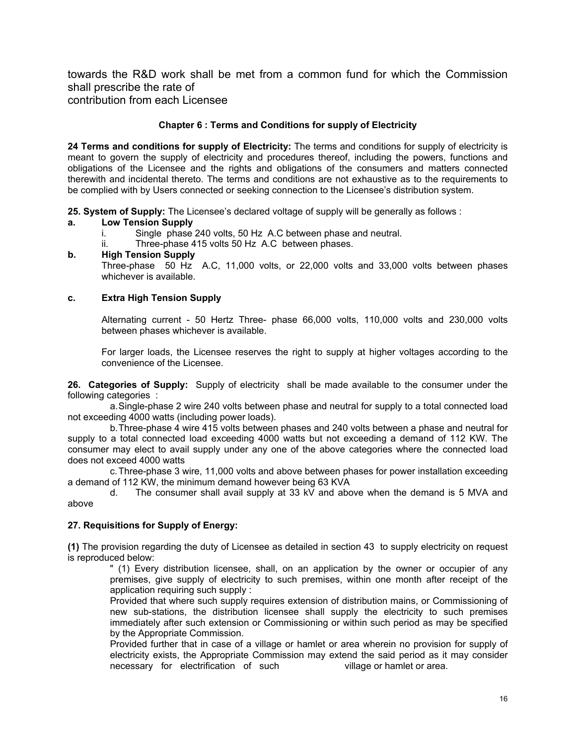towards the R&D work shall be met from a common fund for which the Commission shall prescribe the rate of contribution from each Licensee

**Chapter 6 : Terms and Conditions for supply of Electricity** 

**24 Terms and conditions for supply of Electricity:** The terms and conditions for supply of electricity is meant to govern the supply of electricity and procedures thereof, including the powers, functions and obligations of the Licensee and the rights and obligations of the consumers and matters connected therewith and incidental thereto. The terms and conditions are not exhaustive as to the requirements to be complied with by Users connected or seeking connection to the Licensee's distribution system.

**25. System of Supply:** The Licensee's declared voltage of supply will be generally as follows :

# **a. Low Tension Supply**

- i. Single phase 240 volts, 50 Hz A.C between phase and neutral.
- ii. Three-phase 415 volts 50 Hz A.C between phases.

# **b. High Tension Supply**

Three-phase 50 Hz A.C, 11,000 volts, or 22,000 volts and 33,000 volts between phases whichever is available.

# **c. Extra High Tension Supply**

Alternating current - 50 Hertz Three- phase 66,000 volts, 110,000 volts and 230,000 volts between phases whichever is available.

 For larger loads, the Licensee reserves the right to supply at higher voltages according to the convenience of the Licensee.

**26. Categories of Supply:** Supply of electricity shall be made available to the consumer under the following categories :

a. Single-phase 2 wire 240 volts between phase and neutral for supply to a total connected load not exceeding 4000 watts (including power loads).

b. Three-phase 4 wire 415 volts between phases and 240 volts between a phase and neutral for supply to a total connected load exceeding 4000 watts but not exceeding a demand of 112 KW. The consumer may elect to avail supply under any one of the above categories where the connected load does not exceed 4000 watts

c. Three-phase 3 wire, 11,000 volts and above between phases for power installation exceeding a demand of 112 KW, the minimum demand however being 63 KVA

d. The consumer shall avail supply at 33 kV and above when the demand is 5 MVA and above

# **27. Requisitions for Supply of Energy:**

**(1)** The provision regarding the duty of Licensee as detailed in section 43 to supply electricity on request is reproduced below:

" (1) Every distribution licensee, shall, on an application by the owner or occupier of any premises, give supply of electricity to such premises, within one month after receipt of the application requiring such supply :

Provided that where such supply requires extension of distribution mains, or Commissioning of new sub-stations, the distribution licensee shall supply the electricity to such premises immediately after such extension or Commissioning or within such period as may be specified by the Appropriate Commission.

Provided further that in case of a village or hamlet or area wherein no provision for supply of electricity exists, the Appropriate Commission may extend the said period as it may consider necessary for electrification of such village or hamlet or area.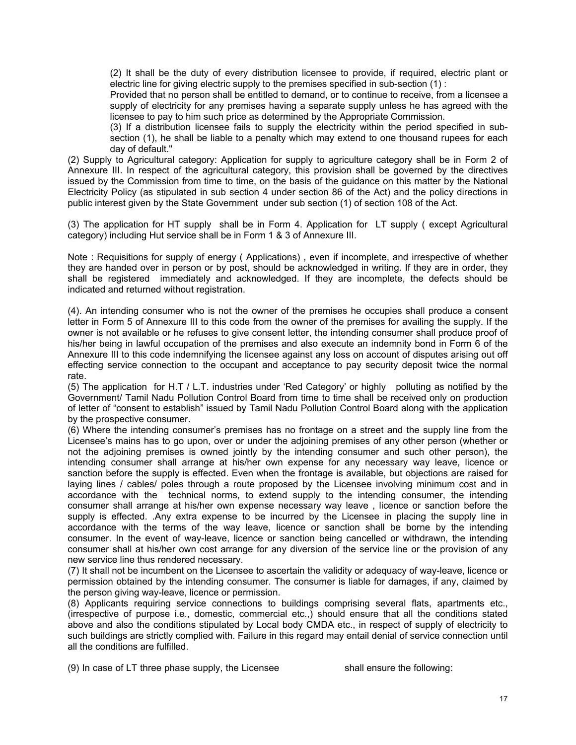(2) It shall be the duty of every distribution licensee to provide, if required, electric plant or electric line for giving electric supply to the premises specified in sub-section (1) :

Provided that no person shall be entitled to demand, or to continue to receive, from a licensee a supply of electricity for any premises having a separate supply unless he has agreed with the licensee to pay to him such price as determined by the Appropriate Commission.

(3) If a distribution licensee fails to supply the electricity within the period specified in subsection (1), he shall be liable to a penalty which may extend to one thousand rupees for each day of default."

(2) Supply to Agricultural category: Application for supply to agriculture category shall be in Form 2 of Annexure III. In respect of the agricultural category, this provision shall be governed by the directives issued by the Commission from time to time, on the basis of the guidance on this matter by the National Electricity Policy (as stipulated in sub section 4 under section 86 of the Act) and the policy directions in public interest given by the State Government under sub section (1) of section 108 of the Act.

(3) The application for HT supply shall be in Form 4. Application for LT supply ( except Agricultural category) including Hut service shall be in Form 1 & 3 of Annexure III.

Note : Requisitions for supply of energy ( Applications) , even if incomplete, and irrespective of whether they are handed over in person or by post, should be acknowledged in writing. If they are in order, they shall be registered immediately and acknowledged. If they are incomplete, the defects should be indicated and returned without registration.

(4). An intending consumer who is not the owner of the premises he occupies shall produce a consent letter in Form 5 of Annexure III to this code from the owner of the premises for availing the supply. If the owner is not available or he refuses to give consent letter, the intending consumer shall produce proof of his/her being in lawful occupation of the premises and also execute an indemnity bond in Form 6 of the Annexure III to this code indemnifying the licensee against any loss on account of disputes arising out off effecting service connection to the occupant and acceptance to pay security deposit twice the normal rate.

(5) The application for H.T / L.T. industries under 'Red Category' or highly polluting as notified by the Government/ Tamil Nadu Pollution Control Board from time to time shall be received only on production of letter of "consent to establish" issued by Tamil Nadu Pollution Control Board along with the application by the prospective consumer.

(6) Where the intending consumer's premises has no frontage on a street and the supply line from the Licensee's mains has to go upon, over or under the adjoining premises of any other person (whether or not the adjoining premises is owned jointly by the intending consumer and such other person), the intending consumer shall arrange at his/her own expense for any necessary way leave, licence or sanction before the supply is effected. Even when the frontage is available, but objections are raised for laying lines / cables/ poles through a route proposed by the Licensee involving minimum cost and in accordance with the technical norms, to extend supply to the intending consumer, the intending consumer shall arrange at his/her own expense necessary way leave , licence or sanction before the supply is effected. .Any extra expense to be incurred by the Licensee in placing the supply line in accordance with the terms of the way leave, licence or sanction shall be borne by the intending consumer. In the event of way-leave, licence or sanction being cancelled or withdrawn, the intending consumer shall at his/her own cost arrange for any diversion of the service line or the provision of any new service line thus rendered necessary.

(7) It shall not be incumbent on the Licensee to ascertain the validity or adequacy of way-leave, licence or permission obtained by the intending consumer. The consumer is liable for damages, if any, claimed by the person giving way-leave, licence or permission.

(8) Applicants requiring service connections to buildings comprising several flats, apartments etc., (irrespective of purpose i.e., domestic, commercial etc.,) should ensure that all the conditions stated above and also the conditions stipulated by Local body CMDA etc., in respect of supply of electricity to such buildings are strictly complied with. Failure in this regard may entail denial of service connection until all the conditions are fulfilled.

(9) In case of LT three phase supply, the Licensee shall ensure the following: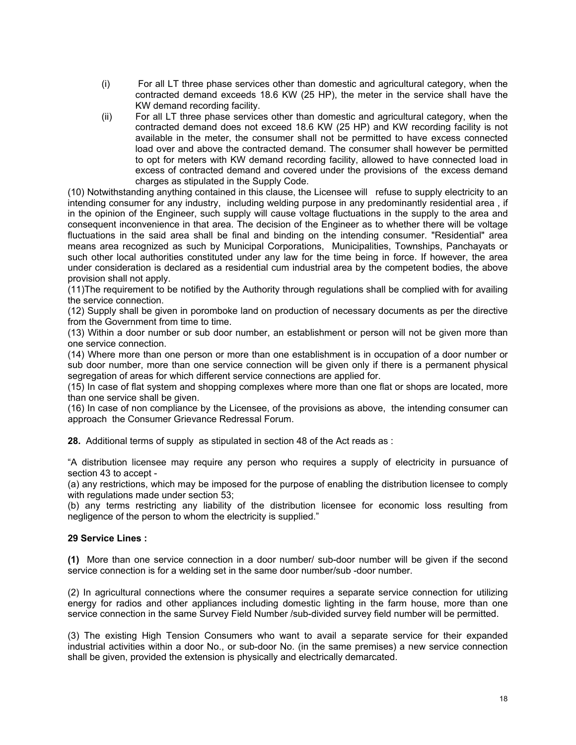- (i) For all LT three phase services other than domestic and agricultural category, when the contracted demand exceeds 18.6 KW (25 HP), the meter in the service shall have the KW demand recording facility.
- (ii) For all LT three phase services other than domestic and agricultural category, when the contracted demand does not exceed 18.6 KW (25 HP) and KW recording facility is not available in the meter, the consumer shall not be permitted to have excess connected load over and above the contracted demand. The consumer shall however be permitted to opt for meters with KW demand recording facility, allowed to have connected load in excess of contracted demand and covered under the provisions of the excess demand charges as stipulated in the Supply Code.

(10) Notwithstanding anything contained in this clause, the Licensee will refuse to supply electricity to an intending consumer for any industry, including welding purpose in any predominantly residential area , if in the opinion of the Engineer, such supply will cause voltage fluctuations in the supply to the area and consequent inconvenience in that area. The decision of the Engineer as to whether there will be voltage fluctuations in the said area shall be final and binding on the intending consumer. "Residential" area means area recognized as such by Municipal Corporations, Municipalities, Townships, Panchayats or such other local authorities constituted under any law for the time being in force. If however, the area under consideration is declared as a residential cum industrial area by the competent bodies, the above provision shall not apply.

(11)The requirement to be notified by the Authority through regulations shall be complied with for availing the service connection.

(12) Supply shall be given in poromboke land on production of necessary documents as per the directive from the Government from time to time.

(13) Within a door number or sub door number, an establishment or person will not be given more than one service connection.

(14) Where more than one person or more than one establishment is in occupation of a door number or sub door number, more than one service connection will be given only if there is a permanent physical segregation of areas for which different service connections are applied for.

(15) In case of flat system and shopping complexes where more than one flat or shops are located, more than one service shall be given.

(16) In case of non compliance by the Licensee, of the provisions as above, the intending consumer can approach the Consumer Grievance Redressal Forum.

**28.** Additional terms of supply as stipulated in section 48 of the Act reads as :

"A distribution licensee may require any person who requires a supply of electricity in pursuance of section 43 to accept -

(a) any restrictions, which may be imposed for the purpose of enabling the distribution licensee to comply with regulations made under section 53;

(b) any terms restricting any liability of the distribution licensee for economic loss resulting from negligence of the person to whom the electricity is supplied."

# **29 Service Lines :**

**(1)** More than one service connection in a door number/ sub-door number will be given if the second service connection is for a welding set in the same door number/sub -door number.

(2) In agricultural connections where the consumer requires a separate service connection for utilizing energy for radios and other appliances including domestic lighting in the farm house, more than one service connection in the same Survey Field Number /sub-divided survey field number will be permitted.

(3) The existing High Tension Consumers who want to avail a separate service for their expanded industrial activities within a door No., or sub-door No. (in the same premises) a new service connection shall be given, provided the extension is physically and electrically demarcated.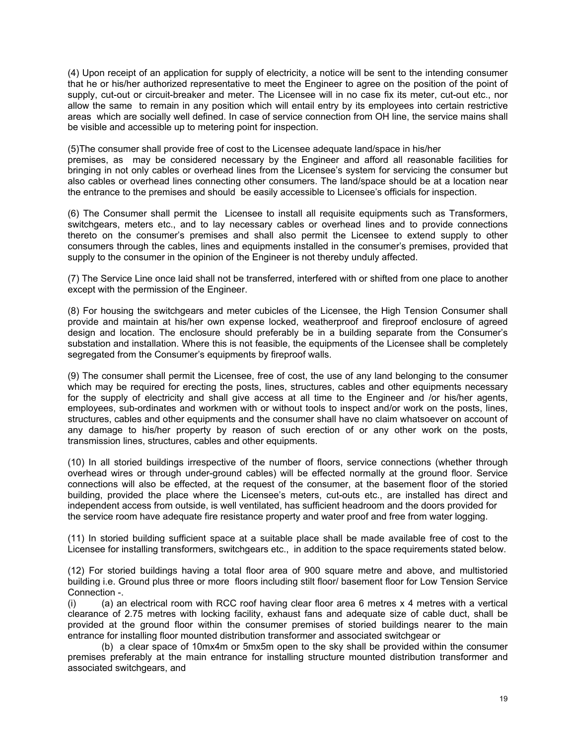(4) Upon receipt of an application for supply of electricity, a notice will be sent to the intending consumer that he or his/her authorized representative to meet the Engineer to agree on the position of the point of supply, cut-out or circuit-breaker and meter. The Licensee will in no case fix its meter, cut-out etc., nor allow the same to remain in any position which will entail entry by its employees into certain restrictive areas which are socially well defined. In case of service connection from OH line, the service mains shall be visible and accessible up to metering point for inspection.

(5)The consumer shall provide free of cost to the Licensee adequate land/space in his/her premises, as may be considered necessary by the Engineer and afford all reasonable facilities for bringing in not only cables or overhead lines from the Licensee's system for servicing the consumer but also cables or overhead lines connecting other consumers. The land/space should be at a location near the entrance to the premises and should be easily accessible to Licensee's officials for inspection.

(6) The Consumer shall permit the Licensee to install all requisite equipments such as Transformers, switchgears, meters etc., and to lay necessary cables or overhead lines and to provide connections thereto on the consumer's premises and shall also permit the Licensee to extend supply to other consumers through the cables, lines and equipments installed in the consumer's premises, provided that supply to the consumer in the opinion of the Engineer is not thereby unduly affected.

(7) The Service Line once laid shall not be transferred, interfered with or shifted from one place to another except with the permission of the Engineer.

(8) For housing the switchgears and meter cubicles of the Licensee, the High Tension Consumer shall provide and maintain at his/her own expense locked, weatherproof and fireproof enclosure of agreed design and location. The enclosure should preferably be in a building separate from the Consumer's substation and installation. Where this is not feasible, the equipments of the Licensee shall be completely segregated from the Consumer's equipments by fireproof walls.

(9) The consumer shall permit the Licensee, free of cost, the use of any land belonging to the consumer which may be required for erecting the posts, lines, structures, cables and other equipments necessary for the supply of electricity and shall give access at all time to the Engineer and /or his/her agents, employees, sub-ordinates and workmen with or without tools to inspect and/or work on the posts, lines, structures, cables and other equipments and the consumer shall have no claim whatsoever on account of any damage to his/her property by reason of such erection of or any other work on the posts, transmission lines, structures, cables and other equipments.

(10) In all storied buildings irrespective of the number of floors, service connections (whether through overhead wires or through under-ground cables) will be effected normally at the ground floor. Service connections will also be effected, at the request of the consumer, at the basement floor of the storied building, provided the place where the Licensee's meters, cut-outs etc., are installed has direct and independent access from outside, is well ventilated, has sufficient headroom and the doors provided for the service room have adequate fire resistance property and water proof and free from water logging.

(11) In storied building sufficient space at a suitable place shall be made available free of cost to the Licensee for installing transformers, switchgears etc., in addition to the space requirements stated below.

(12) For storied buildings having a total floor area of 900 square metre and above, and multistoried building i.e. Ground plus three or more floors including stilt floor/ basement floor for Low Tension Service Connection -.

(i) (a) an electrical room with RCC roof having clear floor area 6 metres  $x$  4 metres with a vertical clearance of 2.75 metres with locking facility, exhaust fans and adequate size of cable duct, shall be provided at the ground floor within the consumer premises of storied buildings nearer to the main entrance for installing floor mounted distribution transformer and associated switchgear or

(b) a clear space of 10mx4m or 5mx5m open to the sky shall be provided within the consumer premises preferably at the main entrance for installing structure mounted distribution transformer and associated switchgears, and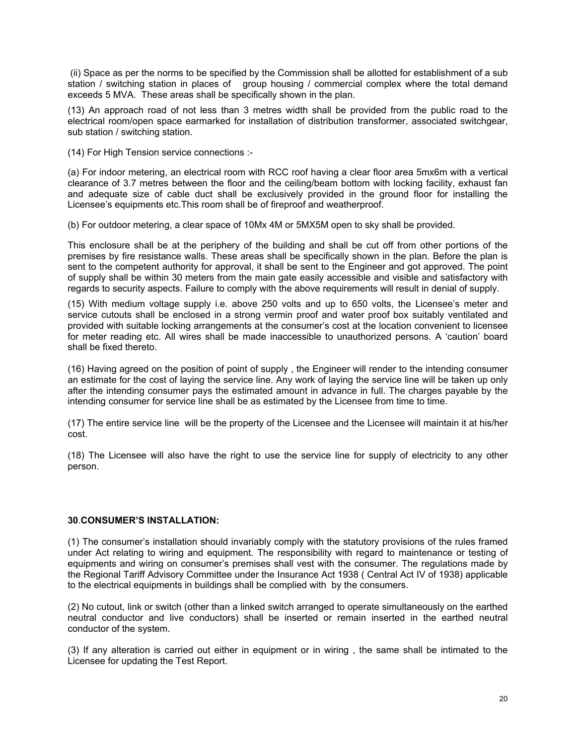(ii) Space as per the norms to be specified by the Commission shall be allotted for establishment of a sub station / switching station in places of group housing / commercial complex where the total demand exceeds 5 MVA. These areas shall be specifically shown in the plan.

(13) An approach road of not less than 3 metres width shall be provided from the public road to the electrical room/open space earmarked for installation of distribution transformer, associated switchgear, sub station / switching station.

(14) For High Tension service connections :-

(a) For indoor metering, an electrical room with RCC roof having a clear floor area 5mx6m with a vertical clearance of 3.7 metres between the floor and the ceiling/beam bottom with locking facility, exhaust fan and adequate size of cable duct shall be exclusively provided in the ground floor for installing the Licensee's equipments etc.This room shall be of fireproof and weatherproof.

(b) For outdoor metering, a clear space of 10Mx 4M or 5MX5M open to sky shall be provided.

This enclosure shall be at the periphery of the building and shall be cut off from other portions of the premises by fire resistance walls. These areas shall be specifically shown in the plan. Before the plan is sent to the competent authority for approval, it shall be sent to the Engineer and got approved. The point of supply shall be within 30 meters from the main gate easily accessible and visible and satisfactory with regards to security aspects. Failure to comply with the above requirements will result in denial of supply.

(15) With medium voltage supply i.e. above 250 volts and up to 650 volts, the Licensee's meter and service cutouts shall be enclosed in a strong vermin proof and water proof box suitably ventilated and provided with suitable locking arrangements at the consumer's cost at the location convenient to licensee for meter reading etc. All wires shall be made inaccessible to unauthorized persons. A 'caution' board shall be fixed thereto.

(16) Having agreed on the position of point of supply , the Engineer will render to the intending consumer an estimate for the cost of laying the service line. Any work of laying the service line will be taken up only after the intending consumer pays the estimated amount in advance in full. The charges payable by the intending consumer for service line shall be as estimated by the Licensee from time to time.

(17) The entire service line will be the property of the Licensee and the Licensee will maintain it at his/her cost.

(18) The Licensee will also have the right to use the service line for supply of electricity to any other person.

# **30**.**CONSUMER'S INSTALLATION:**

(1) The consumer's installation should invariably comply with the statutory provisions of the rules framed under Act relating to wiring and equipment. The responsibility with regard to maintenance or testing of equipments and wiring on consumer's premises shall vest with the consumer. The regulations made by the Regional Tariff Advisory Committee under the Insurance Act 1938 ( Central Act IV of 1938) applicable to the electrical equipments in buildings shall be complied with by the consumers.

(2) No cutout, link or switch (other than a linked switch arranged to operate simultaneously on the earthed neutral conductor and live conductors) shall be inserted or remain inserted in the earthed neutral conductor of the system.

(3) If any alteration is carried out either in equipment or in wiring , the same shall be intimated to the Licensee for updating the Test Report.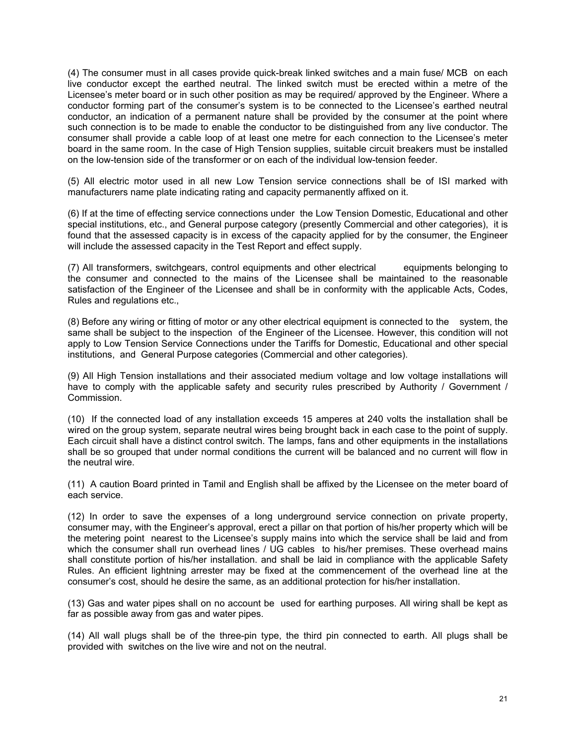(4) The consumer must in all cases provide quick-break linked switches and a main fuse/ MCB on each live conductor except the earthed neutral. The linked switch must be erected within a metre of the Licensee's meter board or in such other position as may be required/ approved by the Engineer. Where a conductor forming part of the consumer's system is to be connected to the Licensee's earthed neutral conductor, an indication of a permanent nature shall be provided by the consumer at the point where such connection is to be made to enable the conductor to be distinguished from any live conductor. The consumer shall provide a cable loop of at least one metre for each connection to the Licensee's meter board in the same room. In the case of High Tension supplies, suitable circuit breakers must be installed on the low-tension side of the transformer or on each of the individual low-tension feeder.

(5) All electric motor used in all new Low Tension service connections shall be of ISI marked with manufacturers name plate indicating rating and capacity permanently affixed on it.

(6) If at the time of effecting service connections under the Low Tension Domestic, Educational and other special institutions, etc., and General purpose category (presently Commercial and other categories), it is found that the assessed capacity is in excess of the capacity applied for by the consumer, the Engineer will include the assessed capacity in the Test Report and effect supply.

(7) All transformers, switchgears, control equipments and other electrical equipments belonging to the consumer and connected to the mains of the Licensee shall be maintained to the reasonable satisfaction of the Engineer of the Licensee and shall be in conformity with the applicable Acts, Codes, Rules and regulations etc.,

(8) Before any wiring or fitting of motor or any other electrical equipment is connected to the system, the same shall be subject to the inspection of the Engineer of the Licensee. However, this condition will not apply to Low Tension Service Connections under the Tariffs for Domestic, Educational and other special institutions, and General Purpose categories (Commercial and other categories).

(9) All High Tension installations and their associated medium voltage and low voltage installations will have to comply with the applicable safety and security rules prescribed by Authority / Government / Commission.

(10) If the connected load of any installation exceeds 15 amperes at 240 volts the installation shall be wired on the group system, separate neutral wires being brought back in each case to the point of supply. Each circuit shall have a distinct control switch. The lamps, fans and other equipments in the installations shall be so grouped that under normal conditions the current will be balanced and no current will flow in the neutral wire.

(11) A caution Board printed in Tamil and English shall be affixed by the Licensee on the meter board of each service.

(12) In order to save the expenses of a long underground service connection on private property, consumer may, with the Engineer's approval, erect a pillar on that portion of his/her property which will be the metering point nearest to the Licensee's supply mains into which the service shall be laid and from which the consumer shall run overhead lines / UG cables to his/her premises. These overhead mains shall constitute portion of his/her installation. and shall be laid in compliance with the applicable Safety Rules. An efficient lightning arrester may be fixed at the commencement of the overhead line at the consumer's cost, should he desire the same, as an additional protection for his/her installation.

(13) Gas and water pipes shall on no account be used for earthing purposes. All wiring shall be kept as far as possible away from gas and water pipes.

(14) All wall plugs shall be of the three-pin type, the third pin connected to earth. All plugs shall be provided with switches on the live wire and not on the neutral.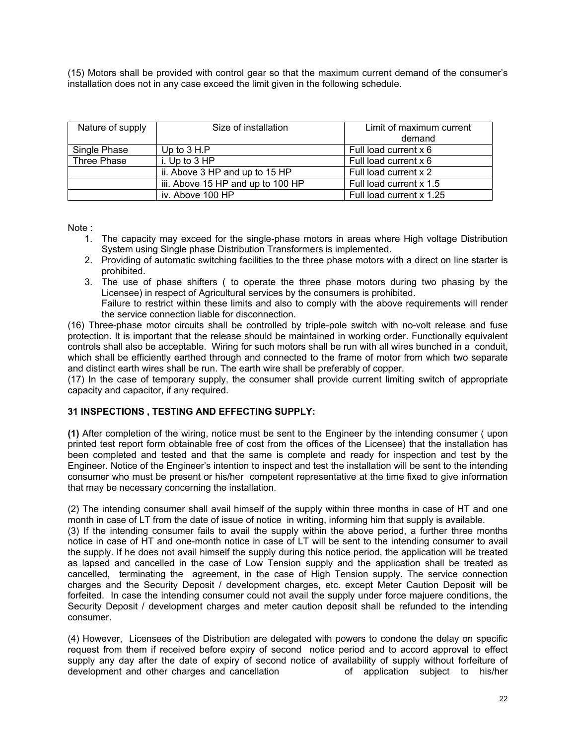(15) Motors shall be provided with control gear so that the maximum current demand of the consumer's installation does not in any case exceed the limit given in the following schedule.

| Nature of supply | Size of installation                                    | Limit of maximum current<br>demand |  |
|------------------|---------------------------------------------------------|------------------------------------|--|
| Single Phase     | Up to $3 H.P$                                           | Full load current x 6              |  |
| Three Phase      | i. Up to $3$ HP                                         | Full load current x 6              |  |
|                  | ii. Above 3 HP and up to 15 HP<br>Full load current x 2 |                                    |  |
|                  | iii. Above 15 HP and up to 100 HP                       | Full load current x 1.5            |  |
|                  | iv. Above 100 HP                                        | Full load current x 1.25           |  |

Note :

- 1. The capacity may exceed for the single-phase motors in areas where High voltage Distribution System using Single phase Distribution Transformers is implemented.
- 2. Providing of automatic switching facilities to the three phase motors with a direct on line starter is prohibited.
- 3. The use of phase shifters ( to operate the three phase motors during two phasing by the Licensee) in respect of Agricultural services by the consumers is prohibited.
- Failure to restrict within these limits and also to comply with the above requirements will render the service connection liable for disconnection.

(16) Three-phase motor circuits shall be controlled by triple-pole switch with no-volt release and fuse protection. It is important that the release should be maintained in working order. Functionally equivalent controls shall also be acceptable. Wiring for such motors shall be run with all wires bunched in a conduit, which shall be efficiently earthed through and connected to the frame of motor from which two separate and distinct earth wires shall be run. The earth wire shall be preferably of copper.

(17) In the case of temporary supply, the consumer shall provide current limiting switch of appropriate capacity and capacitor, if any required.

# **31 INSPECTIONS , TESTING AND EFFECTING SUPPLY:**

**(1)** After completion of the wiring, notice must be sent to the Engineer by the intending consumer ( upon printed test report form obtainable free of cost from the offices of the Licensee) that the installation has been completed and tested and that the same is complete and ready for inspection and test by the Engineer. Notice of the Engineer's intention to inspect and test the installation will be sent to the intending consumer who must be present or his/her competent representative at the time fixed to give information that may be necessary concerning the installation.

(2) The intending consumer shall avail himself of the supply within three months in case of HT and one month in case of LT from the date of issue of notice in writing, informing him that supply is available.

(3) If the intending consumer fails to avail the supply within the above period, a further three months notice in case of HT and one-month notice in case of LT will be sent to the intending consumer to avail the supply. If he does not avail himself the supply during this notice period, the application will be treated as lapsed and cancelled in the case of Low Tension supply and the application shall be treated as cancelled, terminating the agreement, in the case of High Tension supply. The service connection charges and the Security Deposit / development charges, etc. except Meter Caution Deposit will be forfeited. In case the intending consumer could not avail the supply under force majuere conditions, the Security Deposit / development charges and meter caution deposit shall be refunded to the intending consumer.

(4) However, Licensees of the Distribution are delegated with powers to condone the delay on specific request from them if received before expiry of second notice period and to accord approval to effect supply any day after the date of expiry of second notice of availability of supply without forfeiture of development and other charges and cancellation of application subject to his/her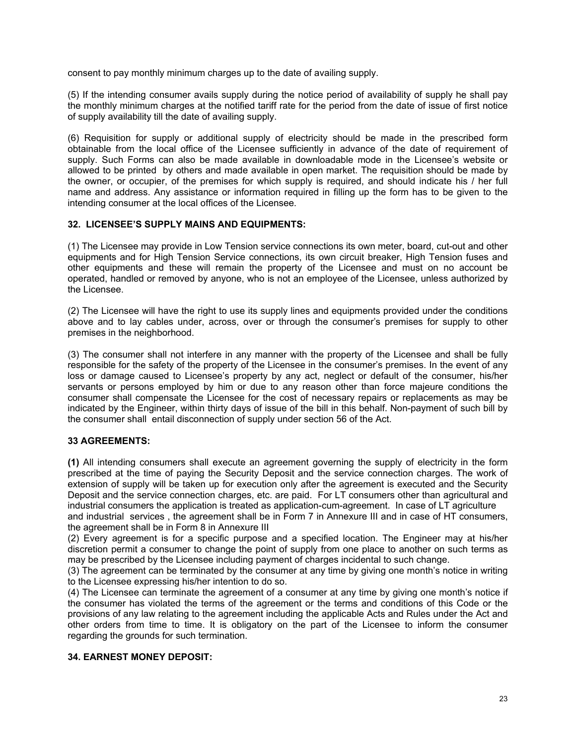consent to pay monthly minimum charges up to the date of availing supply.

(5) If the intending consumer avails supply during the notice period of availability of supply he shall pay the monthly minimum charges at the notified tariff rate for the period from the date of issue of first notice of supply availability till the date of availing supply.

(6) Requisition for supply or additional supply of electricity should be made in the prescribed form obtainable from the local office of the Licensee sufficiently in advance of the date of requirement of supply. Such Forms can also be made available in downloadable mode in the Licensee's website or allowed to be printed by others and made available in open market. The requisition should be made by the owner, or occupier, of the premises for which supply is required, and should indicate his / her full name and address. Any assistance or information required in filling up the form has to be given to the intending consumer at the local offices of the Licensee.

# **32. LICENSEE'S SUPPLY MAINS AND EQUIPMENTS:**

(1) The Licensee may provide in Low Tension service connections its own meter, board, cut-out and other equipments and for High Tension Service connections, its own circuit breaker, High Tension fuses and other equipments and these will remain the property of the Licensee and must on no account be operated, handled or removed by anyone, who is not an employee of the Licensee, unless authorized by the Licensee.

(2) The Licensee will have the right to use its supply lines and equipments provided under the conditions above and to lay cables under, across, over or through the consumer's premises for supply to other premises in the neighborhood.

(3) The consumer shall not interfere in any manner with the property of the Licensee and shall be fully responsible for the safety of the property of the Licensee in the consumer's premises. In the event of any loss or damage caused to Licensee's property by any act, neglect or default of the consumer, his/her servants or persons employed by him or due to any reason other than force majeure conditions the consumer shall compensate the Licensee for the cost of necessary repairs or replacements as may be indicated by the Engineer, within thirty days of issue of the bill in this behalf. Non-payment of such bill by the consumer shall entail disconnection of supply under section 56 of the Act.

# **33 AGREEMENTS:**

**(1)** All intending consumers shall execute an agreement governing the supply of electricity in the form prescribed at the time of paying the Security Deposit and the service connection charges. The work of extension of supply will be taken up for execution only after the agreement is executed and the Security Deposit and the service connection charges, etc. are paid. For LT consumers other than agricultural and industrial consumers the application is treated as application-cum-agreement. In case of LT agriculture and industrial services , the agreement shall be in Form 7 in Annexure III and in case of HT consumers,

the agreement shall be in Form 8 in Annexure III (2) Every agreement is for a specific purpose and a specified location. The Engineer may at his/her discretion permit a consumer to change the point of supply from one place to another on such terms as may be prescribed by the Licensee including payment of charges incidental to such change.

(3) The agreement can be terminated by the consumer at any time by giving one month's notice in writing to the Licensee expressing his/her intention to do so.

(4) The Licensee can terminate the agreement of a consumer at any time by giving one month's notice if the consumer has violated the terms of the agreement or the terms and conditions of this Code or the provisions of any law relating to the agreement including the applicable Acts and Rules under the Act and other orders from time to time. It is obligatory on the part of the Licensee to inform the consumer regarding the grounds for such termination.

# **34. EARNEST MONEY DEPOSIT:**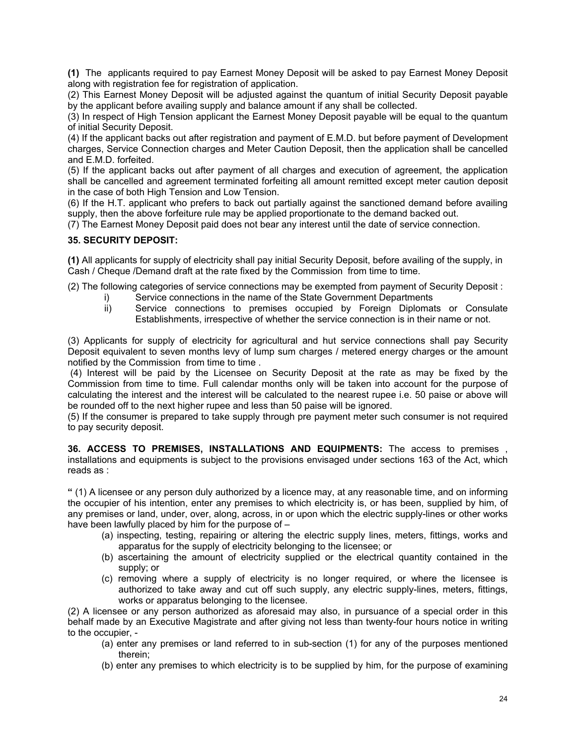**(1)** The applicants required to pay Earnest Money Deposit will be asked to pay Earnest Money Deposit along with registration fee for registration of application.

(2) This Earnest Money Deposit will be adjusted against the quantum of initial Security Deposit payable by the applicant before availing supply and balance amount if any shall be collected.

(3) In respect of High Tension applicant the Earnest Money Deposit payable will be equal to the quantum of initial Security Deposit.

(4) If the applicant backs out after registration and payment of E.M.D. but before payment of Development charges, Service Connection charges and Meter Caution Deposit, then the application shall be cancelled and E.M.D. forfeited.

(5) If the applicant backs out after payment of all charges and execution of agreement, the application shall be cancelled and agreement terminated forfeiting all amount remitted except meter caution deposit in the case of both High Tension and Low Tension.

(6) If the H.T. applicant who prefers to back out partially against the sanctioned demand before availing supply, then the above forfeiture rule may be applied proportionate to the demand backed out.

(7) The Earnest Money Deposit paid does not bear any interest until the date of service connection.

# **35. SECURITY DEPOSIT:**

**(1)** All applicants for supply of electricity shall pay initial Security Deposit, before availing of the supply, in Cash / Cheque /Demand draft at the rate fixed by the Commission from time to time.

(2) The following categories of service connections may be exempted from payment of Security Deposit :

- i) Service connections in the name of the State Government Departments
- ii) Service connections to premises occupied by Foreign Diplomats or Consulate Establishments, irrespective of whether the service connection is in their name or not.

(3) Applicants for supply of electricity for agricultural and hut service connections shall pay Security Deposit equivalent to seven months levy of lump sum charges / metered energy charges or the amount notified by the Commission from time to time.

 (4) Interest will be paid by the Licensee on Security Deposit at the rate as may be fixed by the Commission from time to time. Full calendar months only will be taken into account for the purpose of calculating the interest and the interest will be calculated to the nearest rupee i.e. 50 paise or above will be rounded off to the next higher rupee and less than 50 paise will be ignored.

(5) If the consumer is prepared to take supply through pre payment meter such consumer is not required to pay security deposit.

**36. ACCESS TO PREMISES, INSTALLATIONS AND EQUIPMENTS:** The access to premises , installations and equipments is subject to the provisions envisaged under sections 163 of the Act, which reads as :

**"** (1) A licensee or any person duly authorized by a licence may, at any reasonable time, and on informing the occupier of his intention, enter any premises to which electricity is, or has been, supplied by him, of any premises or land, under, over, along, across, in or upon which the electric supply-lines or other works have been lawfully placed by him for the purpose of –

- (a) inspecting, testing, repairing or altering the electric supply lines, meters, fittings, works and apparatus for the supply of electricity belonging to the licensee; or
- (b) ascertaining the amount of electricity supplied or the electrical quantity contained in the supply; or
- (c) removing where a supply of electricity is no longer required, or where the licensee is authorized to take away and cut off such supply, any electric supply-lines, meters, fittings, works or apparatus belonging to the licensee.

(2) A licensee or any person authorized as aforesaid may also, in pursuance of a special order in this behalf made by an Executive Magistrate and after giving not less than twenty-four hours notice in writing to the occupier, -

- (a) enter any premises or land referred to in sub-section (1) for any of the purposes mentioned therein;
- (b) enter any premises to which electricity is to be supplied by him, for the purpose of examining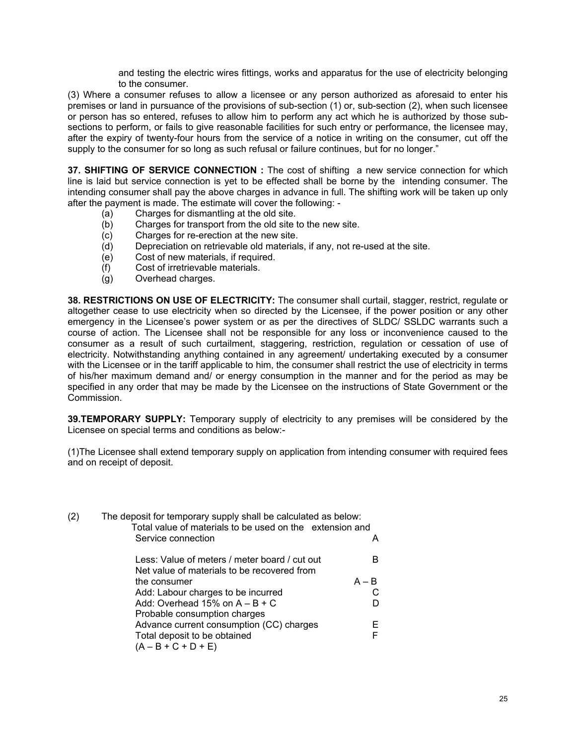and testing the electric wires fittings, works and apparatus for the use of electricity belonging to the consumer.

(3) Where a consumer refuses to allow a licensee or any person authorized as aforesaid to enter his premises or land in pursuance of the provisions of sub-section (1) or, sub-section (2), when such licensee or person has so entered, refuses to allow him to perform any act which he is authorized by those subsections to perform, or fails to give reasonable facilities for such entry or performance, the licensee may, after the expiry of twenty-four hours from the service of a notice in writing on the consumer, cut off the supply to the consumer for so long as such refusal or failure continues, but for no longer."

**37. SHIFTING OF SERVICE CONNECTION :** The cost of shifting a new service connection for which line is laid but service connection is yet to be effected shall be borne by the intending consumer. The intending consumer shall pay the above charges in advance in full. The shifting work will be taken up only after the payment is made. The estimate will cover the following: -

- (a) Charges for dismantling at the old site.
- (b) Charges for transport from the old site to the new site.
- (c) Charges for re-erection at the new site.
- (d) Depreciation on retrievable old materials, if any, not re-used at the site.
- (e) Cost of new materials, if required.
- (f) Cost of irretrievable materials.
- (g) Overhead charges.

**38. RESTRICTIONS ON USE OF ELECTRICITY:** The consumer shall curtail, stagger, restrict, regulate or altogether cease to use electricity when so directed by the Licensee, if the power position or any other emergency in the Licensee's power system or as per the directives of SLDC/ SSLDC warrants such a course of action. The Licensee shall not be responsible for any loss or inconvenience caused to the consumer as a result of such curtailment, staggering, restriction, regulation or cessation of use of electricity. Notwithstanding anything contained in any agreement/ undertaking executed by a consumer with the Licensee or in the tariff applicable to him, the consumer shall restrict the use of electricity in terms of his/her maximum demand and/ or energy consumption in the manner and for the period as may be specified in any order that may be made by the Licensee on the instructions of State Government or the Commission.

**39.TEMPORARY SUPPLY:** Temporary supply of electricity to any premises will be considered by the Licensee on special terms and conditions as below:-

(1)The Licensee shall extend temporary supply on application from intending consumer with required fees and on receipt of deposit.

| (2) | The deposit for temporary supply shall be calculated as below:<br>Total value of materials to be used on the extension and<br>Service connection |         |
|-----|--------------------------------------------------------------------------------------------------------------------------------------------------|---------|
|     | Less: Value of meters / meter board / cut out<br>Net value of materials to be recovered from                                                     | R       |
|     | the consumer                                                                                                                                     | $A - B$ |
|     | Add: Labour charges to be incurred                                                                                                               |         |
|     | Add: Overhead $15\%$ on $A - B + C$                                                                                                              |         |
|     | Probable consumption charges<br>Advance current consumption (CC) charges                                                                         |         |
|     | Total deposit to be obtained<br>$(A - B + C + D + E)$                                                                                            |         |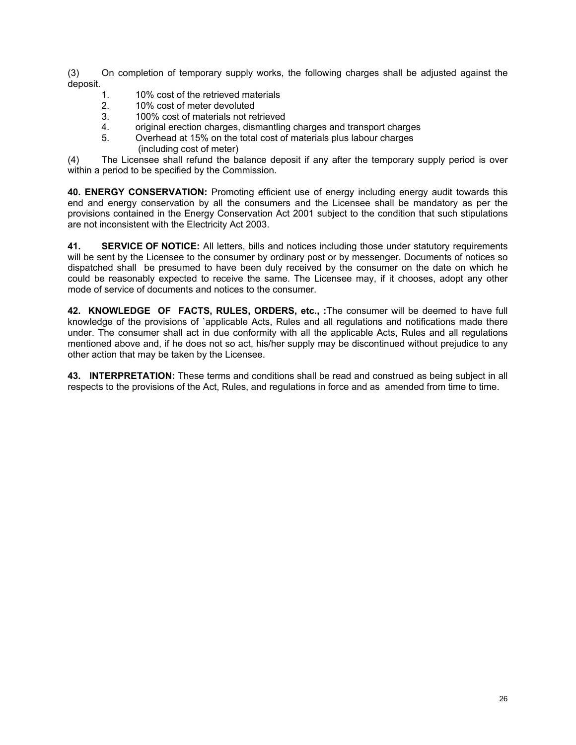(3) On completion of temporary supply works, the following charges shall be adjusted against the deposit.

- 1. 10% cost of the retrieved materials
- 2. 10% cost of meter devoluted
- 3. 100% cost of materials not retrieved
- 4. original erection charges, dismantling charges and transport charges
- 5. Overhead at 15% on the total cost of materials plus labour charges (including cost of meter)

(4) The Licensee shall refund the balance deposit if any after the temporary supply period is over within a period to be specified by the Commission.

**40. ENERGY CONSERVATION:** Promoting efficient use of energy including energy audit towards this end and energy conservation by all the consumers and the Licensee shall be mandatory as per the provisions contained in the Energy Conservation Act 2001 subject to the condition that such stipulations are not inconsistent with the Electricity Act 2003.

**41. SERVICE OF NOTICE:** All letters, bills and notices including those under statutory requirements will be sent by the Licensee to the consumer by ordinary post or by messenger. Documents of notices so dispatched shall be presumed to have been duly received by the consumer on the date on which he could be reasonably expected to receive the same. The Licensee may, if it chooses, adopt any other mode of service of documents and notices to the consumer.

**42. KNOWLEDGE OF FACTS, RULES, ORDERS, etc., :**The consumer will be deemed to have full knowledge of the provisions of `applicable Acts, Rules and all regulations and notifications made there under. The consumer shall act in due conformity with all the applicable Acts, Rules and all regulations mentioned above and, if he does not so act, his/her supply may be discontinued without prejudice to any other action that may be taken by the Licensee.

**43. INTERPRETATION:** These terms and conditions shall be read and construed as being subject in all respects to the provisions of the Act, Rules, and regulations in force and as amended from time to time.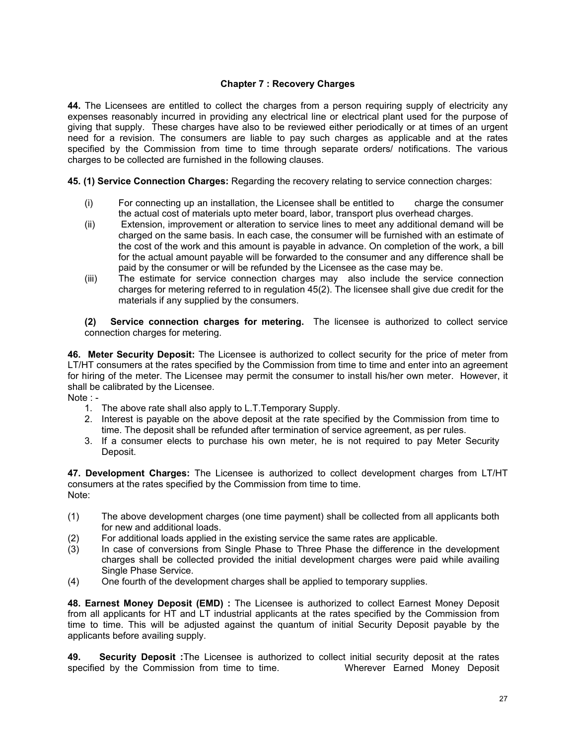# **Chapter 7 : Recovery Charges**

**44.** The Licensees are entitled to collect the charges from a person requiring supply of electricity any expenses reasonably incurred in providing any electrical line or electrical plant used for the purpose of giving that supply. These charges have also to be reviewed either periodically or at times of an urgent need for a revision. The consumers are liable to pay such charges as applicable and at the rates specified by the Commission from time to time through separate orders/ notifications. The various charges to be collected are furnished in the following clauses.

**45. (1) Service Connection Charges:** Regarding the recovery relating to service connection charges:

- (i) For connecting up an installation, the Licensee shall be entitled to charge the consumer the actual cost of materials upto meter board, labor, transport plus overhead charges.
- (ii) Extension, improvement or alteration to service lines to meet any additional demand will be charged on the same basis. In each case, the consumer will be furnished with an estimate of the cost of the work and this amount is payable in advance. On completion of the work, a bill for the actual amount payable will be forwarded to the consumer and any difference shall be paid by the consumer or will be refunded by the Licensee as the case may be.
- (iii) The estimate for service connection charges may also include the service connection charges for metering referred to in regulation 45(2). The licensee shall give due credit for the materials if any supplied by the consumers.

**(2) Service connection charges for metering.** The licensee is authorized to collect service connection charges for metering.

**46. Meter Security Deposit:** The Licensee is authorized to collect security for the price of meter from LT/HT consumers at the rates specified by the Commission from time to time and enter into an agreement for hiring of the meter. The Licensee may permit the consumer to install his/her own meter. However, it shall be calibrated by the Licensee.

- Note :
	- 1. The above rate shall also apply to L.T.Temporary Supply.
	- 2. Interest is payable on the above deposit at the rate specified by the Commission from time to time. The deposit shall be refunded after termination of service agreement, as per rules.
	- 3. If a consumer elects to purchase his own meter, he is not required to pay Meter Security Deposit.

**47. Development Charges:** The Licensee is authorized to collect development charges from LT/HT consumers at the rates specified by the Commission from time to time. Note:

- (1) The above development charges (one time payment) shall be collected from all applicants both for new and additional loads.
- (2) For additional loads applied in the existing service the same rates are applicable.
- (3) In case of conversions from Single Phase to Three Phase the difference in the development charges shall be collected provided the initial development charges were paid while availing Single Phase Service.
- (4) One fourth of the development charges shall be applied to temporary supplies.

**48. Earnest Money Deposit (EMD) :** The Licensee is authorized to collect Earnest Money Deposit from all applicants for HT and LT industrial applicants at the rates specified by the Commission from time to time. This will be adjusted against the quantum of initial Security Deposit payable by the applicants before availing supply.

**49. Security Deposit :**The Licensee is authorized to collect initial security deposit at the rates specified by the Commission from time to time. Wherever Earned Money Deposit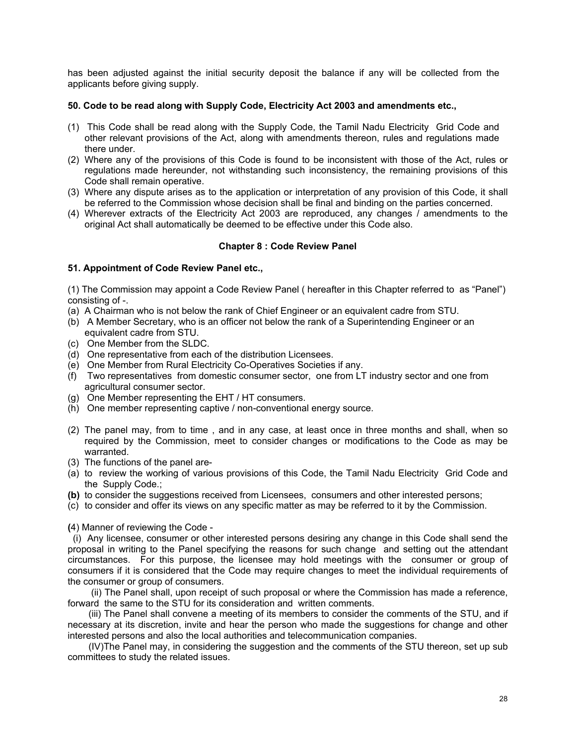has been adjusted against the initial security deposit the balance if any will be collected from the applicants before giving supply.

# **50. Code to be read along with Supply Code, Electricity Act 2003 and amendments etc.,**

- (1) This Code shall be read along with the Supply Code, the Tamil Nadu Electricity Grid Code and other relevant provisions of the Act, along with amendments thereon, rules and regulations made there under.
- (2) Where any of the provisions of this Code is found to be inconsistent with those of the Act, rules or regulations made hereunder, not withstanding such inconsistency, the remaining provisions of this Code shall remain operative.
- (3) Where any dispute arises as to the application or interpretation of any provision of this Code, it shall be referred to the Commission whose decision shall be final and binding on the parties concerned.
- (4) Wherever extracts of the Electricity Act 2003 are reproduced, any changes / amendments to the original Act shall automatically be deemed to be effective under this Code also.

# **Chapter 8 : Code Review Panel**

# **51. Appointment of Code Review Panel etc.,**

(1) The Commission may appoint a Code Review Panel ( hereafter in this Chapter referred to as "Panel") consisting of -.

- (a) A Chairman who is not below the rank of Chief Engineer or an equivalent cadre from STU.
- (b) A Member Secretary, who is an officer not below the rank of a Superintending Engineer or an equivalent cadre from STU.
- (c) One Member from the SLDC.
- (d) One representative from each of the distribution Licensees.
- (e) One Member from Rural Electricity Co-Operatives Societies if any.
- (f) Two representatives from domestic consumer sector, one from LT industry sector and one from agricultural consumer sector.
- (g) One Member representing the EHT / HT consumers.
- (h) One member representing captive / non-conventional energy source.
- (2) The panel may, from to time , and in any case, at least once in three months and shall, when so required by the Commission, meet to consider changes or modifications to the Code as may be warranted.
- (3) The functions of the panel are-
- (a) to review the working of various provisions of this Code, the Tamil Nadu Electricity Grid Code and the Supply Code.;
- **(b)** to consider the suggestions received from Licensees, consumers and other interested persons;
- (c) to consider and offer its views on any specific matter as may be referred to it by the Commission.

**(**4) Manner of reviewing the Code -

 (i) Any licensee, consumer or other interested persons desiring any change in this Code shall send the proposal in writing to the Panel specifying the reasons for such change and setting out the attendant circumstances. For this purpose, the licensee may hold meetings with the consumer or group of consumers if it is considered that the Code may require changes to meet the individual requirements of the consumer or group of consumers.

 (ii) The Panel shall, upon receipt of such proposal or where the Commission has made a reference, forward the same to the STU for its consideration and written comments.

 (iii) The Panel shall convene a meeting of its members to consider the comments of the STU, and if necessary at its discretion, invite and hear the person who made the suggestions for change and other interested persons and also the local authorities and telecommunication companies.

 (IV)The Panel may, in considering the suggestion and the comments of the STU thereon, set up sub committees to study the related issues.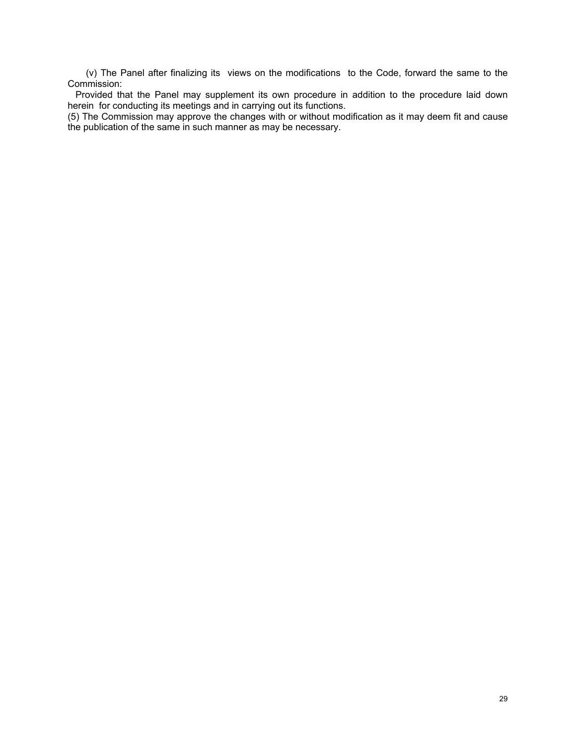(v) The Panel after finalizing its views on the modifications to the Code, forward the same to the Commission:

 Provided that the Panel may supplement its own procedure in addition to the procedure laid down herein for conducting its meetings and in carrying out its functions.

(5) The Commission may approve the changes with or without modification as it may deem fit and cause the publication of the same in such manner as may be necessary.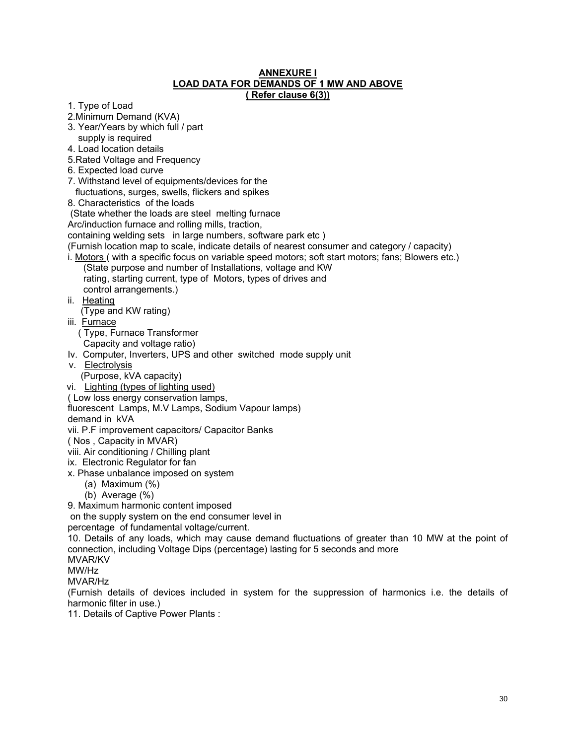# **ANNEXURE I LOAD DATA FOR DEMANDS OF 1 MW AND ABOVE ( Refer clause 6(3))**

- 1. Type of Load
- 2.Minimum Demand (KVA)
- 3. Year/Years by which full / part
- supply is required
- 4. Load location details
- 5.Rated Voltage and Frequency
- 6. Expected load curve
- 7. Withstand level of equipments/devices for the
- fluctuations, surges, swells, flickers and spikes
- 8. Characteristics of the loads

(State whether the loads are steel melting furnace

Arc/induction furnace and rolling mills, traction,

containing welding sets in large numbers, software park etc )

(Furnish location map to scale, indicate details of nearest consumer and category / capacity)

i. Motors ( with a specific focus on variable speed motors; soft start motors; fans; Blowers etc.) (State purpose and number of Installations, voltage and KW rating, starting current, type of Motors, types of drives and

control arrangements.)

ii. Heating

(Type and KW rating)

iii. Furnace

( Type, Furnace Transformer

- Capacity and voltage ratio)
- Iv. Computer, Inverters, UPS and other switched mode supply unit
- v. Electrolysis
	- (Purpose, kVA capacity)
- vi. Lighting (types of lighting used)
- ( Low loss energy conservation lamps,
- fluorescent Lamps, M.V Lamps, Sodium Vapour lamps)
- demand in kVA

vii. P.F improvement capacitors/ Capacitor Banks

- ( Nos , Capacity in MVAR)
- viii. Air conditioning / Chilling plant
- ix. Electronic Regulator for fan
- x. Phase unbalance imposed on system
	- (a) Maximum (%)
	- (b) Average (%)

9. Maximum harmonic content imposed

on the supply system on the end consumer level in

percentage of fundamental voltage/current.

10. Details of any loads, which may cause demand fluctuations of greater than 10 MW at the point of connection, including Voltage Dips (percentage) lasting for 5 seconds and more

MVAR/KV

MW/Hz

MVAR/Hz

(Furnish details of devices included in system for the suppression of harmonics i.e. the details of harmonic filter in use.)

11. Details of Captive Power Plants :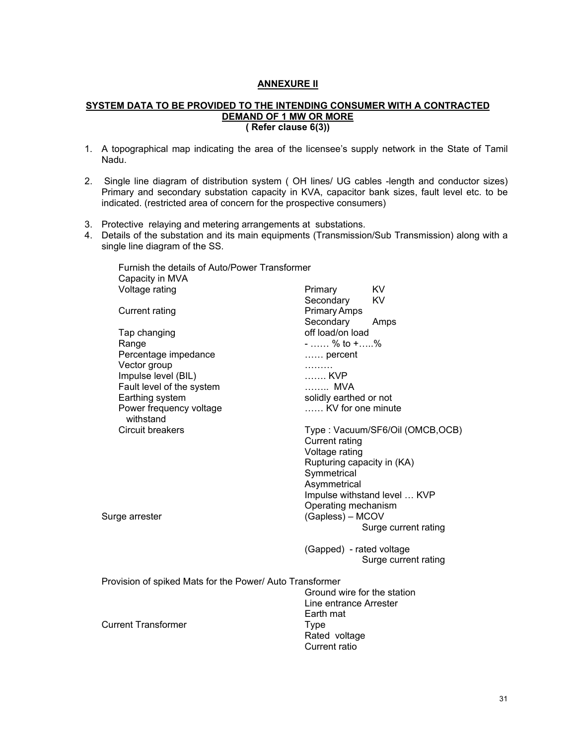# **ANNEXURE II**

# **SYSTEM DATA TO BE PROVIDED TO THE INTENDING CONSUMER WITH A CONTRACTED DEMAND OF 1 MW OR MORE ( Refer clause 6(3))**

- 1. A topographical map indicating the area of the licensee's supply network in the State of Tamil Nadu.
- 2. Single line diagram of distribution system ( OH lines/ UG cables -length and conductor sizes) Primary and secondary substation capacity in KVA, capacitor bank sizes, fault level etc. to be indicated. (restricted area of concern for the prospective consumers)
- 3. Protective relaying and metering arrangements at substations.
- 4. Details of the substation and its main equipments (Transmission/Sub Transmission) along with a single line diagram of the SS.

| Furnish the details of Auto/Power Transformer            |                             |                                 |
|----------------------------------------------------------|-----------------------------|---------------------------------|
| Capacity in MVA                                          |                             |                                 |
| Voltage rating                                           | Primary                     | KV                              |
|                                                          | Secondary                   | KV                              |
| <b>Current rating</b>                                    | Primary Amps                |                                 |
|                                                          | Secondary                   | Amps                            |
| Tap changing                                             | off load/on load            |                                 |
| Range                                                    | $-$ % to $+$ %              |                                 |
| Percentage impedance                                     | percent                     |                                 |
| Vector group                                             | .                           |                                 |
| Impulse level (BIL)                                      | KVP                         |                                 |
| Fault level of the system                                | MVA                         |                                 |
| Earthing system                                          | solidly earthed or not      |                                 |
| Power frequency voltage                                  | KV for one minute           |                                 |
| withstand                                                |                             |                                 |
| <b>Circuit breakers</b>                                  |                             | Type: Vacuum/SF6/Oil (OMCB,OCB) |
|                                                          | <b>Current rating</b>       |                                 |
|                                                          | Voltage rating              |                                 |
|                                                          | Rupturing capacity in (KA)  |                                 |
|                                                          | Symmetrical                 |                                 |
|                                                          | Asymmetrical                |                                 |
|                                                          |                             | Impulse withstand level  KVP    |
|                                                          | Operating mechanism         |                                 |
| Surge arrester                                           | (Gapless) – MCOV            |                                 |
|                                                          |                             | Surge current rating            |
|                                                          |                             |                                 |
|                                                          | (Gapped) - rated voltage    |                                 |
|                                                          |                             | Surge current rating            |
|                                                          |                             |                                 |
| Provision of spiked Mats for the Power/ Auto Transformer |                             |                                 |
|                                                          | Ground wire for the station |                                 |
|                                                          | Line entrance Arrester      |                                 |
|                                                          | Earth mat                   |                                 |
| <b>Current Transformer</b>                               | <b>Type</b>                 |                                 |
|                                                          | Rated voltage               |                                 |
|                                                          | Current ratio               |                                 |
|                                                          |                             |                                 |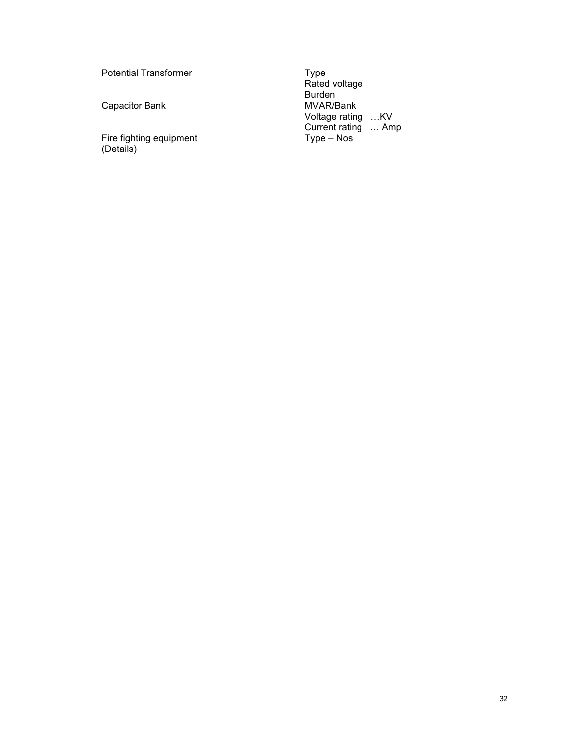Potential Transformer

Capacitor Bank MVAR/Bank

Fire fighting equipment Type – Nos (Details)

Rated voltage and the state of the Rated voltage Burden in the contract of the contract of the Burden state of the Burden Voltage rating …KV **Current rating … Amp** Current rating … Amp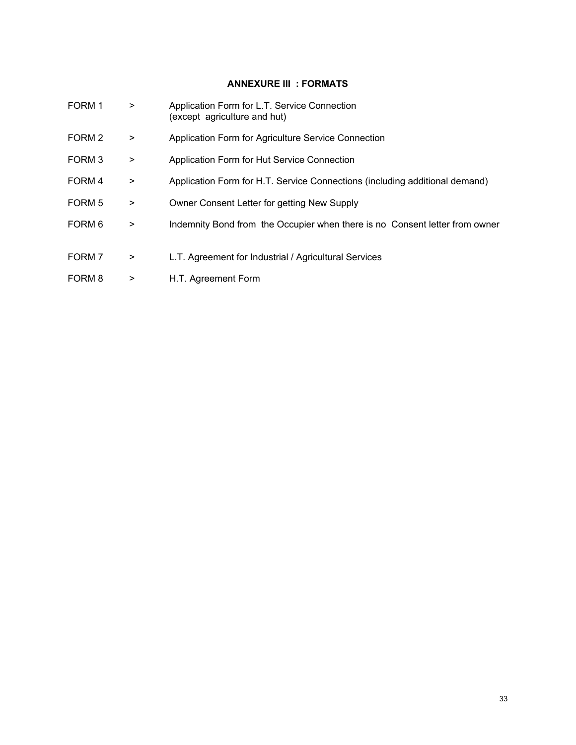# **ANNEXURE III : FORMATS**

| FORM 1            | $\, > \,$ | Application Form for L.T. Service Connection<br>(except agriculture and hut) |
|-------------------|-----------|------------------------------------------------------------------------------|
| FORM <sub>2</sub> | $\geq$    | Application Form for Agriculture Service Connection                          |
| FORM <sub>3</sub> | $\, > \,$ | Application Form for Hut Service Connection                                  |
| FORM 4            | $\, > \,$ | Application Form for H.T. Service Connections (including additional demand)  |
| FORM 5            | $\, > \,$ | Owner Consent Letter for getting New Supply                                  |
| FORM 6            | $\geq$    | Indemnity Bond from the Occupier when there is no Consent letter from owner  |
| FORM 7            | $\, > \,$ | L.T. Agreement for Industrial / Agricultural Services                        |
| FORM 8            | >         | H.T. Agreement Form                                                          |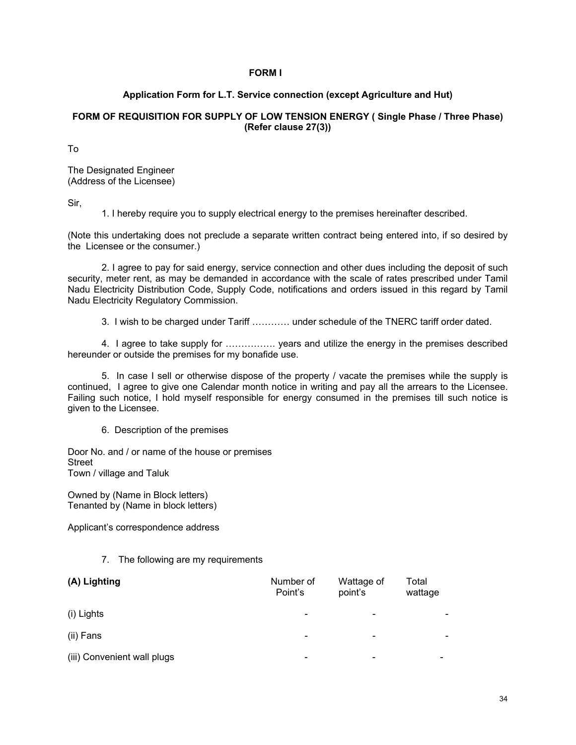# **FORM I**

# **Application Form for L.T. Service connection (except Agriculture and Hut)**

# **FORM OF REQUISITION FOR SUPPLY OF LOW TENSION ENERGY ( Single Phase / Three Phase) (Refer clause 27(3))**

To

The Designated Engineer (Address of the Licensee)

Sir,

1. I hereby require you to supply electrical energy to the premises hereinafter described.

(Note this undertaking does not preclude a separate written contract being entered into, if so desired by the Licensee or the consumer.)

 2. I agree to pay for said energy, service connection and other dues including the deposit of such security, meter rent, as may be demanded in accordance with the scale of rates prescribed under Tamil Nadu Electricity Distribution Code, Supply Code, notifications and orders issued in this regard by Tamil Nadu Electricity Regulatory Commission.

3. I wish to be charged under Tariff ………… under schedule of the TNERC tariff order dated.

 4. I agree to take supply for ……………. years and utilize the energy in the premises described hereunder or outside the premises for my bonafide use.

 5. In case I sell or otherwise dispose of the property / vacate the premises while the supply is continued, I agree to give one Calendar month notice in writing and pay all the arrears to the Licensee. Failing such notice, I hold myself responsible for energy consumed in the premises till such notice is given to the Licensee.

6. Description of the premises

Door No. and / or name of the house or premises Street Town / village and Taluk

Owned by (Name in Block letters) Tenanted by (Name in block letters)

Applicant's correspondence address

# 7. The following are my requirements

| (A) Lighting                | Number of<br>Point's         | Wattage of<br>point's    | Total<br>wattage |
|-----------------------------|------------------------------|--------------------------|------------------|
| (i) Lights                  | $\qquad \qquad \blacksquare$ | $\overline{\phantom{a}}$ |                  |
| (ii) Fans                   | $\qquad \qquad \blacksquare$ | $\overline{\phantom{0}}$ |                  |
| (iii) Convenient wall plugs | $\overline{\phantom{0}}$     |                          |                  |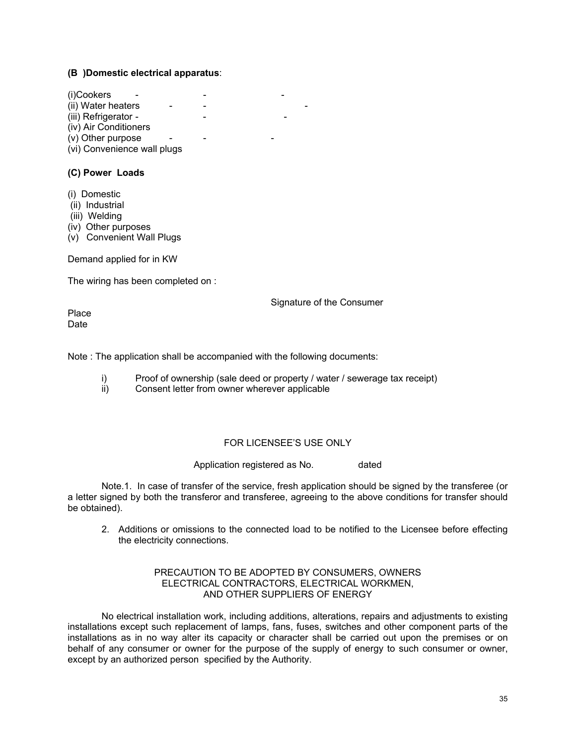# **(B )Domestic electrical apparatus**:

 $(i)$ Cookers (ii) Water heaters - - -(iii) Refrigerator -(iv) Air Conditioners  $(v)$  Other purpose (vi) Convenience wall plugs

# **(C) Power Loads**

- (i) Domestic
- (ii) Industrial
- (iii) Welding
- (iv) Other purposes
- (v) Convenient Wall Plugs

Demand applied for in KW

The wiring has been completed on :

Signature of the Consumer

Place Date

Note : The application shall be accompanied with the following documents:

- i) Proof of ownership (sale deed or property / water / sewerage tax receipt) ii) Consent letter from owner wherever applicable
- Consent letter from owner wherever applicable

# FOR LICENSEE'S USE ONLY

Application registered as No. dated

 Note.1. In case of transfer of the service, fresh application should be signed by the transferee (or a letter signed by both the transferor and transferee, agreeing to the above conditions for transfer should be obtained).

2. Additions or omissions to the connected load to be notified to the Licensee before effecting the electricity connections.

#### PRECAUTION TO BE ADOPTED BY CONSUMERS, OWNERS ELECTRICAL CONTRACTORS, ELECTRICAL WORKMEN, AND OTHER SUPPLIERS OF ENERGY

 No electrical installation work, including additions, alterations, repairs and adjustments to existing installations except such replacement of lamps, fans, fuses, switches and other component parts of the installations as in no way alter its capacity or character shall be carried out upon the premises or on behalf of any consumer or owner for the purpose of the supply of energy to such consumer or owner, except by an authorized person specified by the Authority.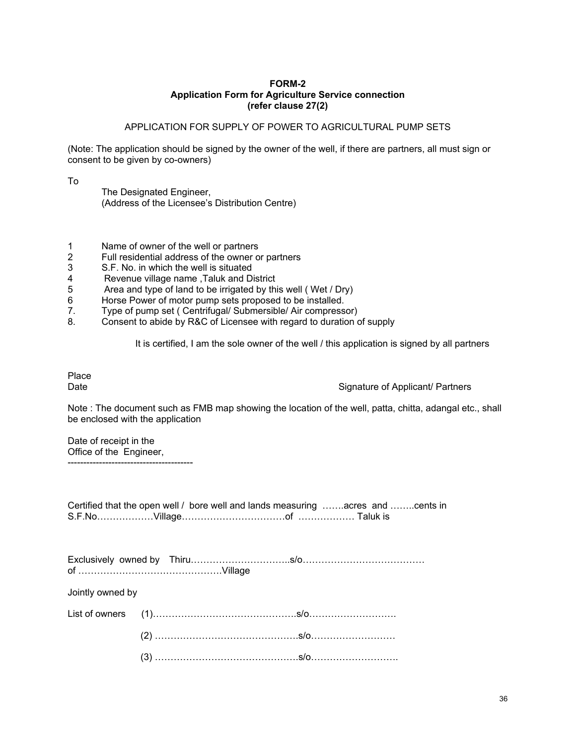# **FORM-2 Application Form for Agriculture Service connection (refer clause 27(2)**

# APPLICATION FOR SUPPLY OF POWER TO AGRICULTURAL PUMP SETS

(Note: The application should be signed by the owner of the well, if there are partners, all must sign or consent to be given by co-owners)

To

| The Designated Engineer,                        |
|-------------------------------------------------|
| (Address of the Licensee's Distribution Centre) |

- 1 Name of owner of the well or partners
- 2 Full residential address of the owner or partners
- 3 S.F. No. in which the well is situated
- 4 Revenue village name , Taluk and District<br>5 Area and type of land to be irrigated by thi
- Area and type of land to be irrigated by this well ( Wet / Dry)
- 6 Horse Power of motor pump sets proposed to be installed.
- 7. Type of pump set ( Centrifugal/ Submersible/ Air compressor)
- 8. Consent to abide by R&C of Licensee with regard to duration of supply

It is certified, I am the sole owner of the well / this application is signed by all partners

Place

Date **Signature of Applicant/ Partners** 

Note : The document such as FMB map showing the location of the well, patta, chitta, adangal etc., shall be enclosed with the application

Date of receipt in the Office of the Engineer,

----------------------------------------

| Certified that the open well / bore well and lands measuring acres and cents in |  |  |  |
|---------------------------------------------------------------------------------|--|--|--|
|                                                                                 |  |  |  |

Jointly owned by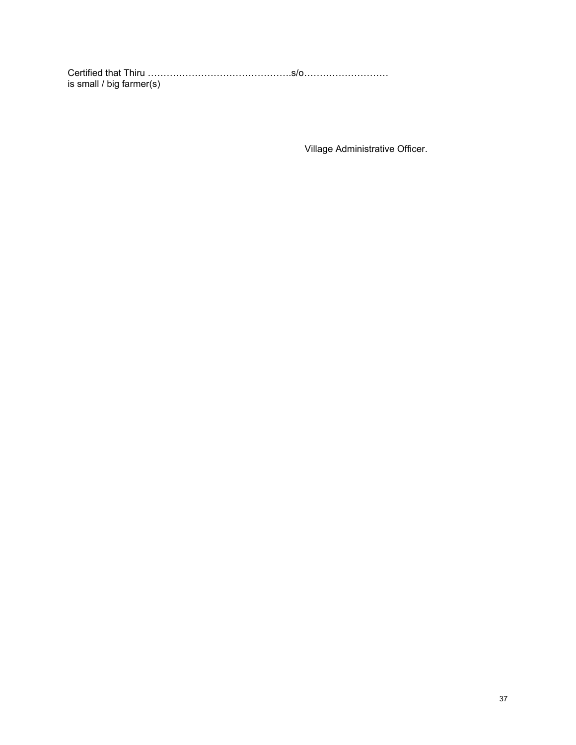Certified that Thiru ……………………………………….s/o……………………… is small / big farmer(s)

Village Administrative Officer.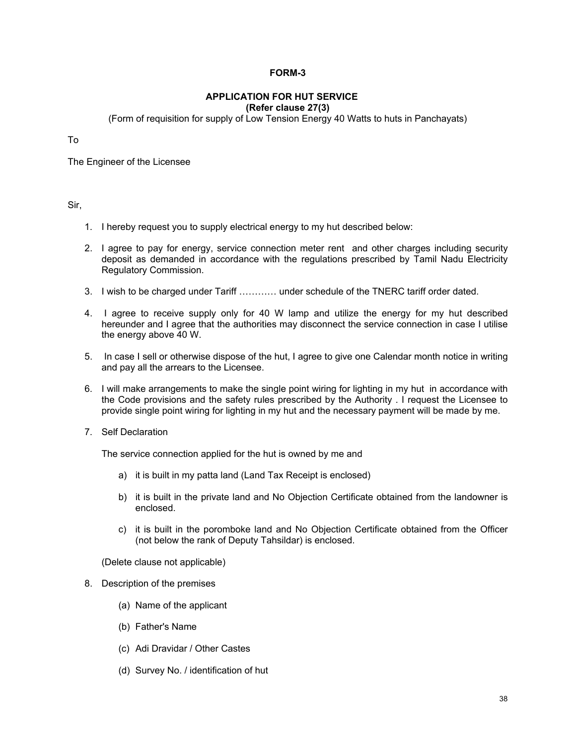# **FORM-3**

#### **APPLICATION FOR HUT SERVICE (Refer clause 27(3)**

(Form of requisition for supply of Low Tension Energy 40 Watts to huts in Panchayats)

To

The Engineer of the Licensee

# Sir,

- 1. I hereby request you to supply electrical energy to my hut described below:
- 2. I agree to pay for energy, service connection meter rent and other charges including security deposit as demanded in accordance with the regulations prescribed by Tamil Nadu Electricity Regulatory Commission.
- 3. I wish to be charged under Tariff ………… under schedule of the TNERC tariff order dated.
- 4. I agree to receive supply only for 40 W lamp and utilize the energy for my hut described hereunder and I agree that the authorities may disconnect the service connection in case I utilise the energy above 40 W.
- 5. In case I sell or otherwise dispose of the hut, I agree to give one Calendar month notice in writing and pay all the arrears to the Licensee.
- 6. I will make arrangements to make the single point wiring for lighting in my hut in accordance with the Code provisions and the safety rules prescribed by the Authority . I request the Licensee to provide single point wiring for lighting in my hut and the necessary payment will be made by me.
- 7. Self Declaration

The service connection applied for the hut is owned by me and

- a) it is built in my patta land (Land Tax Receipt is enclosed)
- b) it is built in the private land and No Objection Certificate obtained from the landowner is enclosed.
- c) it is built in the poromboke land and No Objection Certificate obtained from the Officer (not below the rank of Deputy Tahsildar) is enclosed.

(Delete clause not applicable)

- 8. Description of the premises
	- (a) Name of the applicant
	- (b) Father's Name
	- (c) Adi Dravidar / Other Castes
	- (d) Survey No. / identification of hut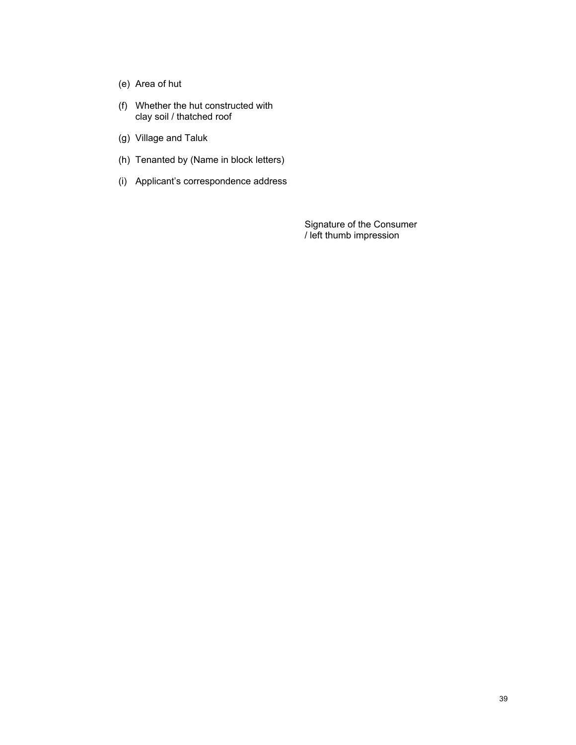- (e) Area of hut
- (f) Whether the hut constructed with clay soil / thatched roof
- (g) Village and Taluk
- (h) Tenanted by (Name in block letters)
- (i) Applicant's correspondence address

Signature of the Consumer / left thumb impression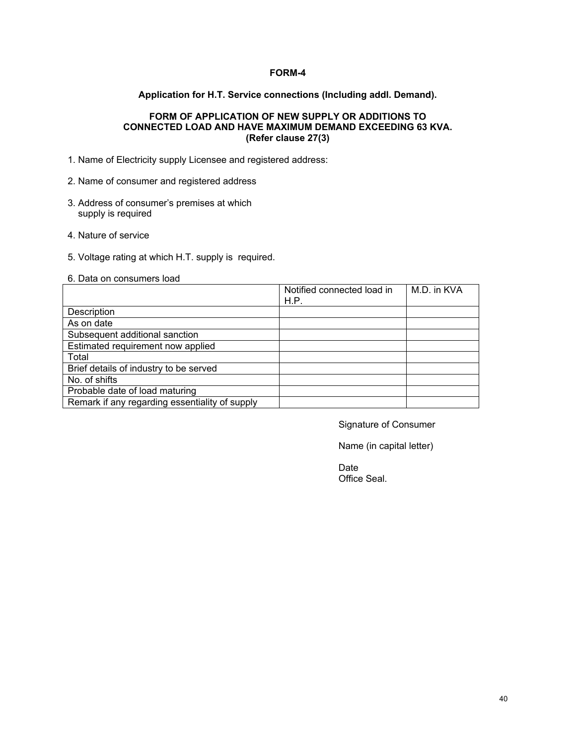# **FORM-4**

# **Application for H.T. Service connections (Including addl. Demand).**

# **FORM OF APPLICATION OF NEW SUPPLY OR ADDITIONS TO CONNECTED LOAD AND HAVE MAXIMUM DEMAND EXCEEDING 63 KVA. (Refer clause 27(3)**

- 1. Name of Electricity supply Licensee and registered address:
- 2. Name of consumer and registered address
- 3. Address of consumer's premises at which supply is required
- 4. Nature of service
- 5. Voltage rating at which H.T. supply is required.
- 6. Data on consumers load

|                                                | Notified connected load in | M.D. in KVA |
|------------------------------------------------|----------------------------|-------------|
|                                                | H.P.                       |             |
| Description                                    |                            |             |
| As on date                                     |                            |             |
| Subsequent additional sanction                 |                            |             |
| Estimated requirement now applied              |                            |             |
| Total                                          |                            |             |
| Brief details of industry to be served         |                            |             |
| No. of shifts                                  |                            |             |
| Probable date of load maturing                 |                            |             |
| Remark if any regarding essentiality of supply |                            |             |

Signature of Consumer

Name (in capital letter)

**Date Date Date Date Date** Office Seal.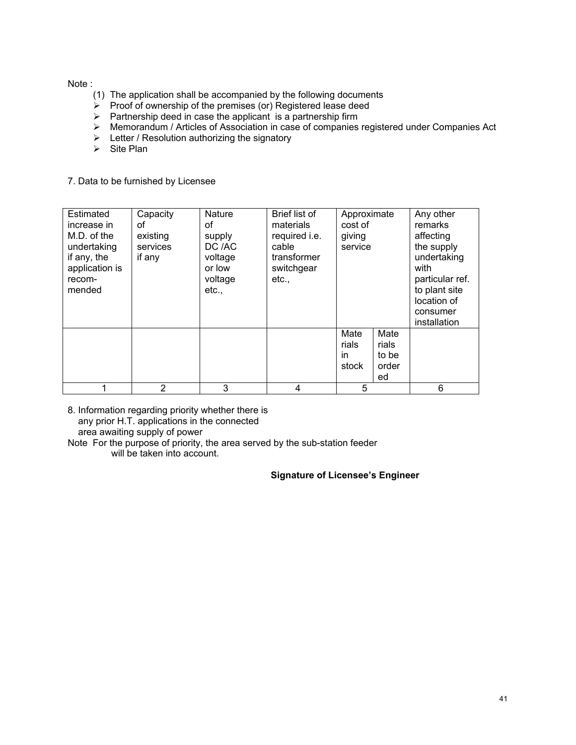Note :

- (1) The application shall be accompanied by the following documents
- $\triangleright$  Proof of ownership of the premises (or) Registered lease deed
- $\triangleright$  Partnership deed in case the applicant is a partnership firm
- ¾ Memorandum / Articles of Association in case of companies registered under Companies Act
- $\triangleright$  Letter / Resolution authorizing the signatory
- $\triangleright$  Site Plan
- 7. Data to be furnished by Licensee

| Estimated<br>increase in<br>M.D. of the<br>undertaking<br>if any, the<br>application is<br>recom-<br>mended | Capacity<br>οf<br>existing<br>services<br>if any | <b>Nature</b><br>οf<br>supply<br>DC /AC<br>voltage<br>or low<br>voltage<br>etc., | Brief list of<br>materials<br>required i.e.<br>cable<br>transformer<br>switchgear<br>etc., | Approximate<br>cost of<br>giving<br>service |                                       | Any other<br>remarks<br>affecting<br>the supply<br>undertaking<br>with<br>particular ref.<br>to plant site<br>location of<br>consumer<br>installation |
|-------------------------------------------------------------------------------------------------------------|--------------------------------------------------|----------------------------------------------------------------------------------|--------------------------------------------------------------------------------------------|---------------------------------------------|---------------------------------------|-------------------------------------------------------------------------------------------------------------------------------------------------------|
|                                                                                                             |                                                  |                                                                                  |                                                                                            | Mate<br>rials<br>in.<br>stock               | Mate<br>rials<br>to be<br>order<br>ed |                                                                                                                                                       |
|                                                                                                             | 2                                                | 3                                                                                | 4                                                                                          | 5                                           |                                       | 6                                                                                                                                                     |

8. Information regarding priority whether there is any prior H.T. applications in the connected area awaiting supply of power

Note For the purpose of priority, the area served by the sub-station feeder will be taken into account.

**Signature of Licensee's Engineer**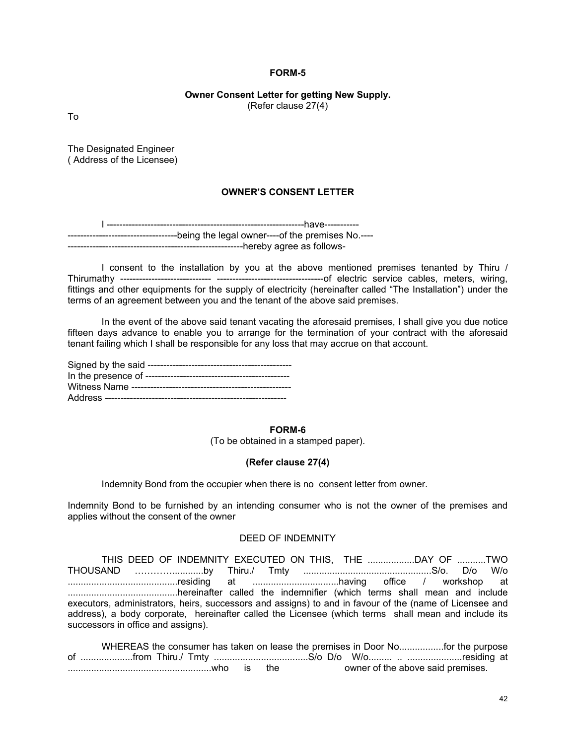#### **FORM-5**

#### **Owner Consent Letter for getting New Supply.**  (Refer clause 27(4)

To

The Designated Engineer ( Address of the Licensee)

# **OWNER'S CONSENT LETTER**

I ---------------------------------------------------------------have----------- -----------------------------------being the legal owner----of the premises No.---- -------------------------hereby agree as follows-

I consent to the installation by you at the above mentioned premises tenanted by Thiru / Thirumathy ----------------------------- ----------------------------------of electric service cables, meters, wiring, fittings and other equipments for the supply of electricity (hereinafter called "The Installation") under the terms of an agreement between you and the tenant of the above said premises.

In the event of the above said tenant vacating the aforesaid premises, I shall give you due notice fifteen days advance to enable you to arrange for the termination of your contract with the aforesaid tenant failing which I shall be responsible for any loss that may accrue on that account.

#### **FORM-6**

(To be obtained in a stamped paper).

#### **(Refer clause 27(4)**

Indemnity Bond from the occupier when there is no consent letter from owner.

Indemnity Bond to be furnished by an intending consumer who is not the owner of the premises and applies without the consent of the owner

# DEED OF INDEMNITY

|                                                                                                         | THIS DEED OF INDEMNITY EXECUTED ON THIS, THE TWO |  |  |  |  |  |
|---------------------------------------------------------------------------------------------------------|--------------------------------------------------|--|--|--|--|--|
|                                                                                                         |                                                  |  |  |  |  |  |
|                                                                                                         |                                                  |  |  |  |  |  |
|                                                                                                         |                                                  |  |  |  |  |  |
| executors, administrators, heirs, successors and assigns) to and in favour of the (name of Licensee and |                                                  |  |  |  |  |  |
| address), a body corporate, hereinafter called the Licensee (which terms shall mean and include its     |                                                  |  |  |  |  |  |
| successors in office and assigns).                                                                      |                                                  |  |  |  |  |  |

|  |  |  | owner of the above said premises. |  |
|--|--|--|-----------------------------------|--|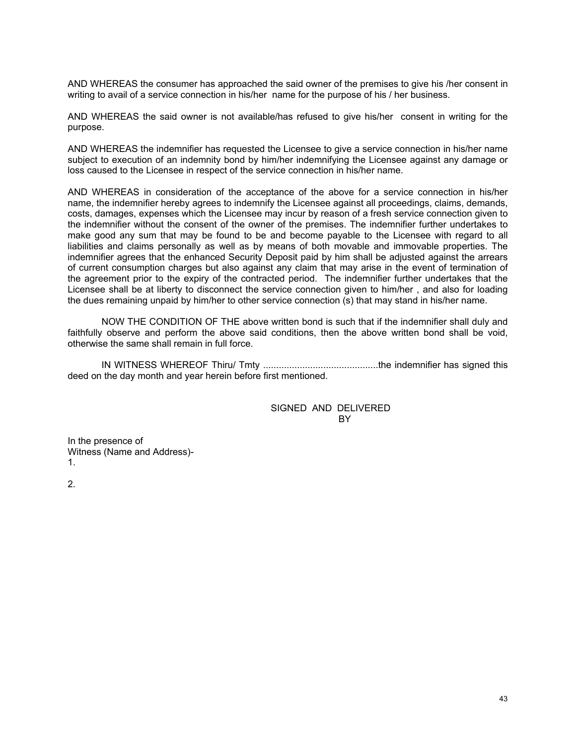AND WHEREAS the consumer has approached the said owner of the premises to give his /her consent in writing to avail of a service connection in his/her name for the purpose of his / her business.

AND WHEREAS the said owner is not available/has refused to give his/her consent in writing for the purpose.

AND WHEREAS the indemnifier has requested the Licensee to give a service connection in his/her name subject to execution of an indemnity bond by him/her indemnifying the Licensee against any damage or loss caused to the Licensee in respect of the service connection in his/her name.

AND WHEREAS in consideration of the acceptance of the above for a service connection in his/her name, the indemnifier hereby agrees to indemnify the Licensee against all proceedings, claims, demands, costs, damages, expenses which the Licensee may incur by reason of a fresh service connection given to the indemnifier without the consent of the owner of the premises. The indemnifier further undertakes to make good any sum that may be found to be and become payable to the Licensee with regard to all liabilities and claims personally as well as by means of both movable and immovable properties. The indemnifier agrees that the enhanced Security Deposit paid by him shall be adjusted against the arrears of current consumption charges but also against any claim that may arise in the event of termination of the agreement prior to the expiry of the contracted period. The indemnifier further undertakes that the Licensee shall be at liberty to disconnect the service connection given to him/her , and also for loading the dues remaining unpaid by him/her to other service connection (s) that may stand in his/her name.

NOW THE CONDITION OF THE above written bond is such that if the indemnifier shall duly and faithfully observe and perform the above said conditions, then the above written bond shall be void. otherwise the same shall remain in full force.

IN WITNESS WHEREOF Thiru/ Tmty ............................................the indemnifier has signed this deed on the day month and year herein before first mentioned.

> SIGNED AND DELIVERED BY

In the presence of Witness (Name and Address)- 1.

2.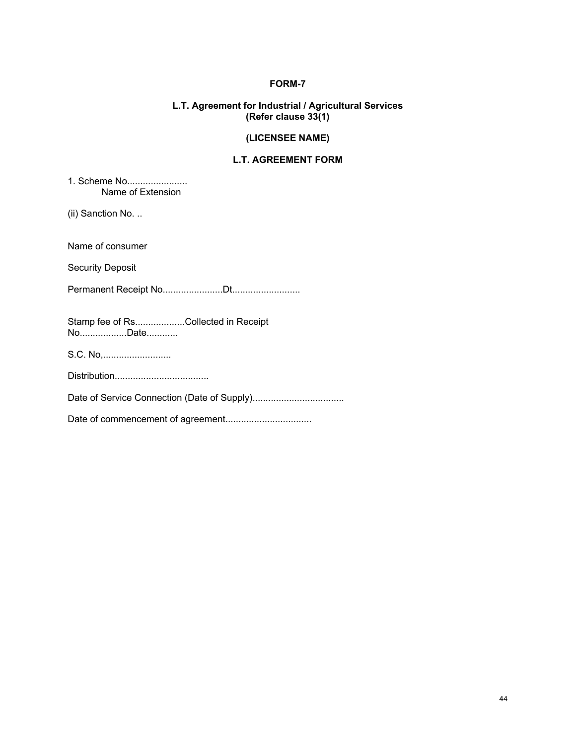# **FORM-7**

# **L.T. Agreement for Industrial / Agricultural Services (Refer clause 33(1)**

# **(LICENSEE NAME)**

# **L.T. AGREEMENT FORM**

1. Scheme No....................... Name of Extension

(ii) Sanction No. ..

Name of consumer

Security Deposit

Permanent Receipt No.......................Dt..........................

Stamp fee of Rs...................Collected in Receipt No....................Date.............

S.C. No,..........................

Distribution....................................

Date of Service Connection (Date of Supply)...................................

Date of commencement of agreement.................................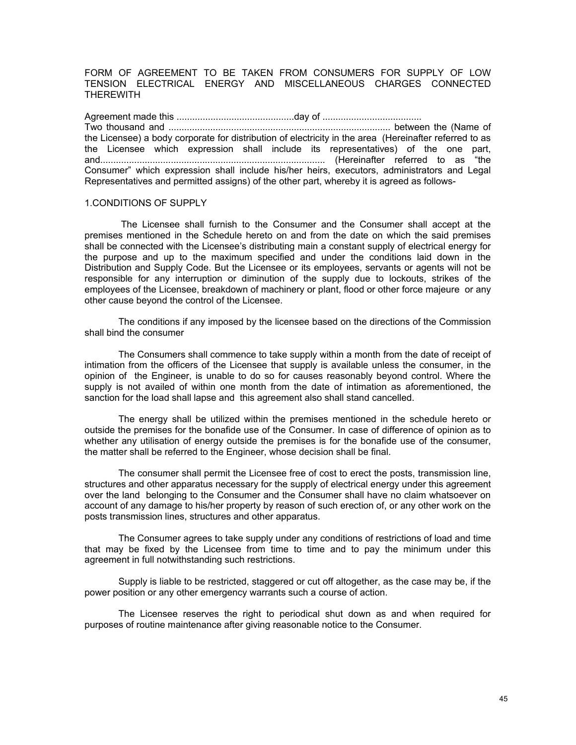FORM OF AGREEMENT TO BE TAKEN FROM CONSUMERS FOR SUPPLY OF LOW TENSION ELECTRICAL ENERGY AND MISCELLANEOUS CHARGES CONNECTED THEREWITH

Agreement made this .............................................day of ...................................... Two thousand and ..................................................................................... between the (Name of the Licensee) a body corporate for distribution of electricity in the area (Hereinafter referred to as the Licensee which expression shall include its representatives) of the one part, and...................................................................................... (Hereinafter referred to as "the Consumer" which expression shall include his/her heirs, executors, administrators and Legal Representatives and permitted assigns) of the other part, whereby it is agreed as follows-

# 1.CONDITIONS OF SUPPLY

 The Licensee shall furnish to the Consumer and the Consumer shall accept at the premises mentioned in the Schedule hereto on and from the date on which the said premises shall be connected with the Licensee's distributing main a constant supply of electrical energy for the purpose and up to the maximum specified and under the conditions laid down in the Distribution and Supply Code. But the Licensee or its employees, servants or agents will not be responsible for any interruption or diminution of the supply due to lockouts, strikes of the employees of the Licensee, breakdown of machinery or plant, flood or other force majeure or any other cause beyond the control of the Licensee.

The conditions if any imposed by the licensee based on the directions of the Commission shall bind the consumer

The Consumers shall commence to take supply within a month from the date of receipt of intimation from the officers of the Licensee that supply is available unless the consumer, in the opinion of the Engineer, is unable to do so for causes reasonably beyond control. Where the supply is not availed of within one month from the date of intimation as aforementioned, the sanction for the load shall lapse and this agreement also shall stand cancelled.

The energy shall be utilized within the premises mentioned in the schedule hereto or outside the premises for the bonafide use of the Consumer. In case of difference of opinion as to whether any utilisation of energy outside the premises is for the bonafide use of the consumer, the matter shall be referred to the Engineer, whose decision shall be final.

The consumer shall permit the Licensee free of cost to erect the posts, transmission line, structures and other apparatus necessary for the supply of electrical energy under this agreement over the land belonging to the Consumer and the Consumer shall have no claim whatsoever on account of any damage to his/her property by reason of such erection of, or any other work on the posts transmission lines, structures and other apparatus.

The Consumer agrees to take supply under any conditions of restrictions of load and time that may be fixed by the Licensee from time to time and to pay the minimum under this agreement in full notwithstanding such restrictions.

Supply is liable to be restricted, staggered or cut off altogether, as the case may be, if the power position or any other emergency warrants such a course of action.

The Licensee reserves the right to periodical shut down as and when required for purposes of routine maintenance after giving reasonable notice to the Consumer.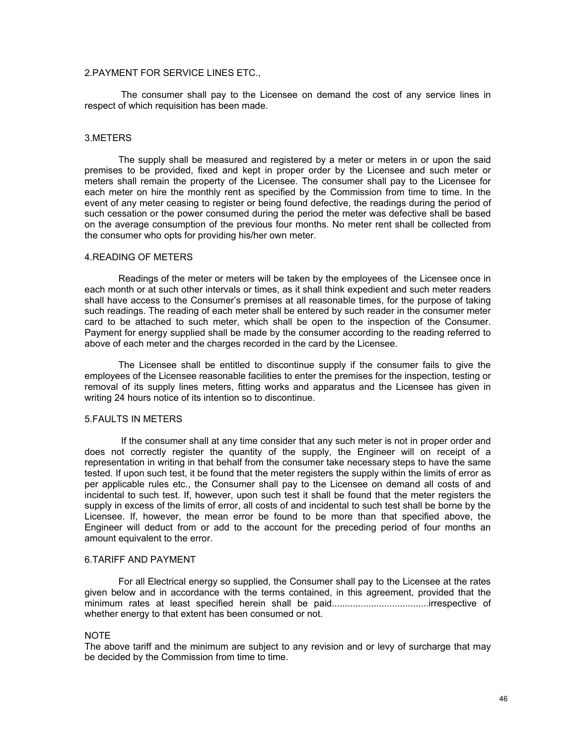# 2.PAYMENT FOR SERVICE LINES ETC.,

 The consumer shall pay to the Licensee on demand the cost of any service lines in respect of which requisition has been made.

#### 3.METERS

The supply shall be measured and registered by a meter or meters in or upon the said premises to be provided, fixed and kept in proper order by the Licensee and such meter or meters shall remain the property of the Licensee. The consumer shall pay to the Licensee for each meter on hire the monthly rent as specified by the Commission from time to time. In the event of any meter ceasing to register or being found defective, the readings during the period of such cessation or the power consumed during the period the meter was defective shall be based on the average consumption of the previous four months. No meter rent shall be collected from the consumer who opts for providing his/her own meter.

#### 4.READING OF METERS

Readings of the meter or meters will be taken by the employees of the Licensee once in each month or at such other intervals or times, as it shall think expedient and such meter readers shall have access to the Consumer's premises at all reasonable times, for the purpose of taking such readings. The reading of each meter shall be entered by such reader in the consumer meter card to be attached to such meter, which shall be open to the inspection of the Consumer. Payment for energy supplied shall be made by the consumer according to the reading referred to above of each meter and the charges recorded in the card by the Licensee.

The Licensee shall be entitled to discontinue supply if the consumer fails to give the employees of the Licensee reasonable facilities to enter the premises for the inspection, testing or removal of its supply lines meters, fitting works and apparatus and the Licensee has given in writing 24 hours notice of its intention so to discontinue.

#### 5.FAULTS IN METERS

 If the consumer shall at any time consider that any such meter is not in proper order and does not correctly register the quantity of the supply, the Engineer will on receipt of a representation in writing in that behalf from the consumer take necessary steps to have the same tested. If upon such test, it be found that the meter registers the supply within the limits of error as per applicable rules etc., the Consumer shall pay to the Licensee on demand all costs of and incidental to such test. If, however, upon such test it shall be found that the meter registers the supply in excess of the limits of error, all costs of and incidental to such test shall be borne by the Licensee. If, however, the mean error be found to be more than that specified above, the Engineer will deduct from or add to the account for the preceding period of four months an amount equivalent to the error.

#### 6.TARIFF AND PAYMENT

For all Electrical energy so supplied, the Consumer shall pay to the Licensee at the rates given below and in accordance with the terms contained, in this agreement, provided that the minimum rates at least specified herein shall be paid.....................................irrespective of whether energy to that extent has been consumed or not.

#### NOTE

The above tariff and the minimum are subject to any revision and or levy of surcharge that may be decided by the Commission from time to time.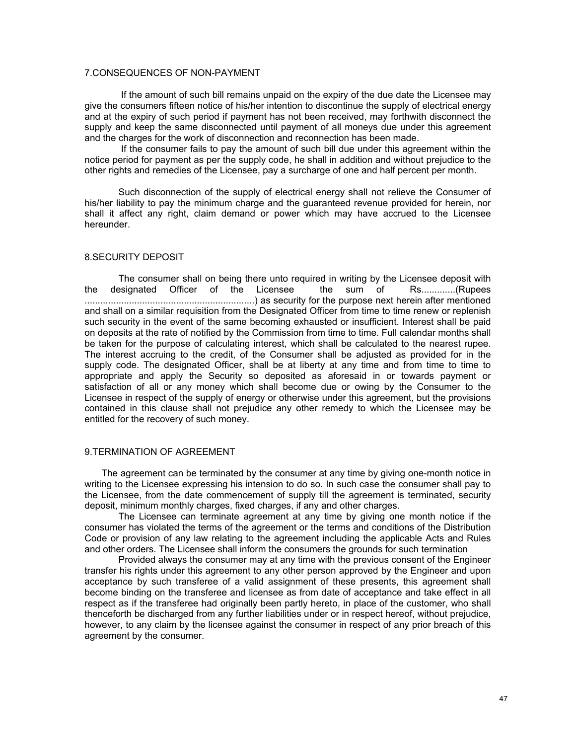# 7.CONSEQUENCES OF NON-PAYMENT

 If the amount of such bill remains unpaid on the expiry of the due date the Licensee may give the consumers fifteen notice of his/her intention to discontinue the supply of electrical energy and at the expiry of such period if payment has not been received, may forthwith disconnect the supply and keep the same disconnected until payment of all moneys due under this agreement and the charges for the work of disconnection and reconnection has been made.

 If the consumer fails to pay the amount of such bill due under this agreement within the notice period for payment as per the supply code, he shall in addition and without prejudice to the other rights and remedies of the Licensee, pay a surcharge of one and half percent per month.

Such disconnection of the supply of electrical energy shall not relieve the Consumer of his/her liability to pay the minimum charge and the guaranteed revenue provided for herein, nor shall it affect any right, claim demand or power which may have accrued to the Licensee hereunder.

#### 8.SECURITY DEPOSIT

The consumer shall on being there unto required in writing by the Licensee deposit with<br>
resignated Officer of the Licensee the sum of Rs.............(Rupees the designated Officer of the Licensee the sum of Rs.............(Rupees .................................................................) as security for the purpose next herein after mentioned and shall on a similar requisition from the Designated Officer from time to time renew or replenish such security in the event of the same becoming exhausted or insufficient. Interest shall be paid on deposits at the rate of notified by the Commission from time to time. Full calendar months shall be taken for the purpose of calculating interest, which shall be calculated to the nearest rupee. The interest accruing to the credit, of the Consumer shall be adjusted as provided for in the supply code. The designated Officer, shall be at liberty at any time and from time to time to appropriate and apply the Security so deposited as aforesaid in or towards payment or satisfaction of all or any money which shall become due or owing by the Consumer to the Licensee in respect of the supply of energy or otherwise under this agreement, but the provisions contained in this clause shall not prejudice any other remedy to which the Licensee may be entitled for the recovery of such money.

#### 9.TERMINATION OF AGREEMENT

The agreement can be terminated by the consumer at any time by giving one-month notice in writing to the Licensee expressing his intension to do so. In such case the consumer shall pay to the Licensee, from the date commencement of supply till the agreement is terminated, security deposit, minimum monthly charges, fixed charges, if any and other charges.

The Licensee can terminate agreement at any time by giving one month notice if the consumer has violated the terms of the agreement or the terms and conditions of the Distribution Code or provision of any law relating to the agreement including the applicable Acts and Rules and other orders. The Licensee shall inform the consumers the grounds for such termination

Provided always the consumer may at any time with the previous consent of the Engineer transfer his rights under this agreement to any other person approved by the Engineer and upon acceptance by such transferee of a valid assignment of these presents, this agreement shall become binding on the transferee and licensee as from date of acceptance and take effect in all respect as if the transferee had originally been partly hereto, in place of the customer, who shall thenceforth be discharged from any further liabilities under or in respect hereof, without prejudice, however, to any claim by the licensee against the consumer in respect of any prior breach of this agreement by the consumer.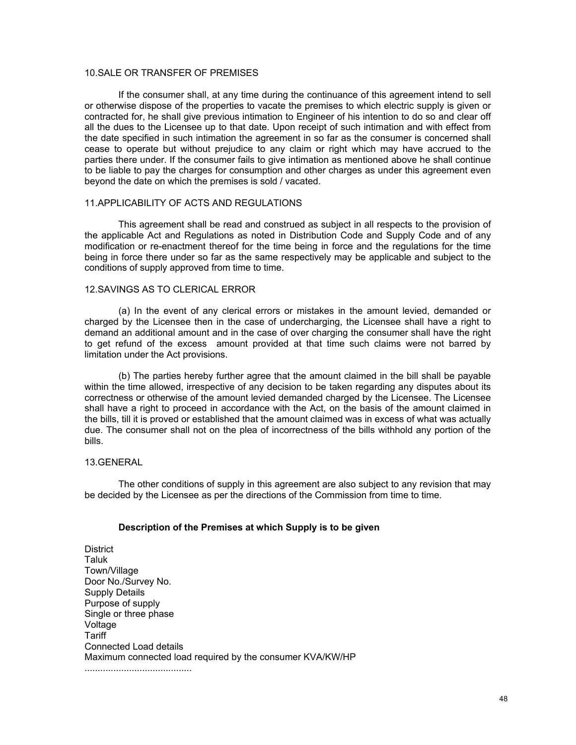# 10.SALE OR TRANSFER OF PREMISES

If the consumer shall, at any time during the continuance of this agreement intend to sell or otherwise dispose of the properties to vacate the premises to which electric supply is given or contracted for, he shall give previous intimation to Engineer of his intention to do so and clear off all the dues to the Licensee up to that date. Upon receipt of such intimation and with effect from the date specified in such intimation the agreement in so far as the consumer is concerned shall cease to operate but without prejudice to any claim or right which may have accrued to the parties there under. If the consumer fails to give intimation as mentioned above he shall continue to be liable to pay the charges for consumption and other charges as under this agreement even beyond the date on which the premises is sold / vacated.

# 11.APPLICABILITY OF ACTS AND REGULATIONS

This agreement shall be read and construed as subject in all respects to the provision of the applicable Act and Regulations as noted in Distribution Code and Supply Code and of any modification or re-enactment thereof for the time being in force and the regulations for the time being in force there under so far as the same respectively may be applicable and subject to the conditions of supply approved from time to time.

# 12.SAVINGS AS TO CLERICAL ERROR

(a) In the event of any clerical errors or mistakes in the amount levied, demanded or charged by the Licensee then in the case of undercharging, the Licensee shall have a right to demand an additional amount and in the case of over charging the consumer shall have the right to get refund of the excess amount provided at that time such claims were not barred by limitation under the Act provisions.

(b) The parties hereby further agree that the amount claimed in the bill shall be payable within the time allowed, irrespective of any decision to be taken regarding any disputes about its correctness or otherwise of the amount levied demanded charged by the Licensee. The Licensee shall have a right to proceed in accordance with the Act, on the basis of the amount claimed in the bills, till it is proved or established that the amount claimed was in excess of what was actually due. The consumer shall not on the plea of incorrectness of the bills withhold any portion of the bills.

#### 13.GENERAL

The other conditions of supply in this agreement are also subject to any revision that may be decided by the Licensee as per the directions of the Commission from time to time.

# **Description of the Premises at which Supply is to be given**

**District** Taluk Town/Village Door No./Survey No. Supply Details Purpose of supply Single or three phase Voltage **Tariff** Connected Load details Maximum connected load required by the consumer KVA/KW/HP .........................................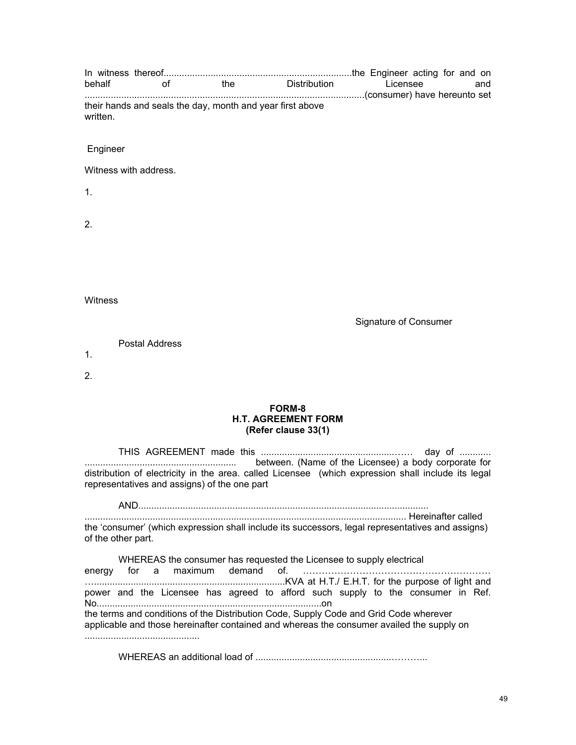| behalf   |                       |                                                           | of the Distribution | Licensee<br>and       |  |  |  |  |
|----------|-----------------------|-----------------------------------------------------------|---------------------|-----------------------|--|--|--|--|
| written. |                       | their hands and seals the day, month and year first above |                     |                       |  |  |  |  |
| Engineer |                       |                                                           |                     |                       |  |  |  |  |
|          | Witness with address. |                                                           |                     |                       |  |  |  |  |
| 1.       |                       |                                                           |                     |                       |  |  |  |  |
| 2.       |                       |                                                           |                     |                       |  |  |  |  |
| Witness  |                       |                                                           |                     |                       |  |  |  |  |
|          |                       |                                                           |                     | Signature of Consumer |  |  |  |  |
| 1.       | <b>Postal Address</b> |                                                           |                     |                       |  |  |  |  |
| 2.       |                       |                                                           |                     |                       |  |  |  |  |

# **FORM-8 H.T. AGREEMENT FORM (Refer clause 33(1)**

|                                                                                                                                                    |  | between. (Name of the Licensee) a body corporate for |
|----------------------------------------------------------------------------------------------------------------------------------------------------|--|------------------------------------------------------|
| distribution of electricity in the area. called Licensee (which expression shall include its legal<br>representatives and assigns) of the one part |  |                                                      |

AND............................................................................................................... ........................................................................................................................... Hereinafter called the 'consumer' (which expression shall include its successors, legal representatives and assigns) of the other part.

| power and the Licensee has agreed to afford such supply to the consumer in Ref.<br>the terms and conditions of the Distribution Code, Supply Code and Grid Code wherever<br>applicable and those hereinafter contained and whereas the consumer availed the supply on |  | WHEREAS the consumer has requested the Licensee to supply electrical |  |  |  |  |  |  |
|-----------------------------------------------------------------------------------------------------------------------------------------------------------------------------------------------------------------------------------------------------------------------|--|----------------------------------------------------------------------|--|--|--|--|--|--|
|                                                                                                                                                                                                                                                                       |  |                                                                      |  |  |  |  |  |  |
|                                                                                                                                                                                                                                                                       |  |                                                                      |  |  |  |  |  |  |

WHEREAS an additional load of ....................................................………...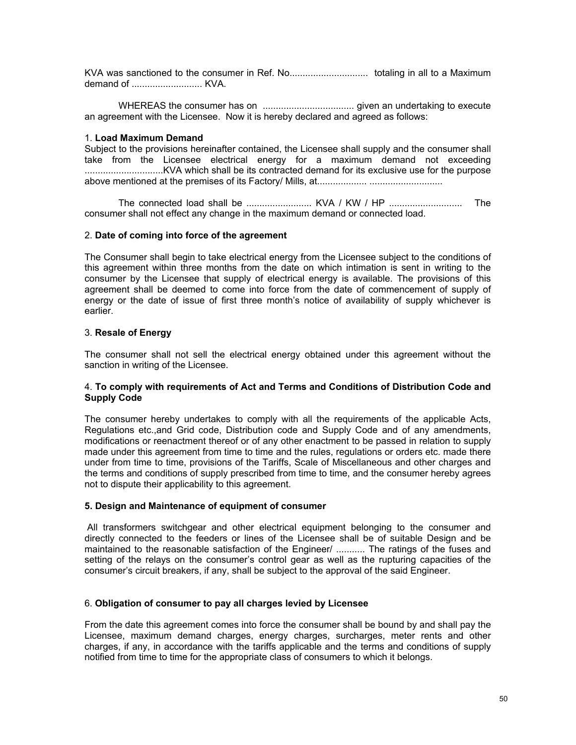KVA was sanctioned to the consumer in Ref. No.............................. totaling in all to a Maximum demand of ........................... KVA.

WHEREAS the consumer has on ................................... given an undertaking to execute an agreement with the Licensee. Now it is hereby declared and agreed as follows:

# 1. **Load Maximum Demand**

Subject to the provisions hereinafter contained, the Licensee shall supply and the consumer shall take from the Licensee electrical energy for a maximum demand not exceeding ..............................KVA which shall be its contracted demand for its exclusive use for the purpose above mentioned at the premises of its Factory/ Mills, at................... ............................

The connected load shall be ......................... KVA / KW / HP ............................ The consumer shall not effect any change in the maximum demand or connected load.

#### 2. **Date of coming into force of the agreement**

The Consumer shall begin to take electrical energy from the Licensee subject to the conditions of this agreement within three months from the date on which intimation is sent in writing to the consumer by the Licensee that supply of electrical energy is available. The provisions of this agreement shall be deemed to come into force from the date of commencement of supply of energy or the date of issue of first three month's notice of availability of supply whichever is earlier.

#### 3. **Resale of Energy**

The consumer shall not sell the electrical energy obtained under this agreement without the sanction in writing of the Licensee.

#### 4. **To comply with requirements of Act and Terms and Conditions of Distribution Code and Supply Code**

The consumer hereby undertakes to comply with all the requirements of the applicable Acts, Regulations etc.,and Grid code, Distribution code and Supply Code and of any amendments, modifications or reenactment thereof or of any other enactment to be passed in relation to supply made under this agreement from time to time and the rules, regulations or orders etc. made there under from time to time, provisions of the Tariffs, Scale of Miscellaneous and other charges and the terms and conditions of supply prescribed from time to time, and the consumer hereby agrees not to dispute their applicability to this agreement.

#### **5. Design and Maintenance of equipment of consumer**

 All transformers switchgear and other electrical equipment belonging to the consumer and directly connected to the feeders or lines of the Licensee shall be of suitable Design and be maintained to the reasonable satisfaction of the Engineer/ ........... The ratings of the fuses and setting of the relays on the consumer's control gear as well as the rupturing capacities of the consumer's circuit breakers, if any, shall be subject to the approval of the said Engineer.

# 6. **Obligation of consumer to pay all charges levied by Licensee**

From the date this agreement comes into force the consumer shall be bound by and shall pay the Licensee, maximum demand charges, energy charges, surcharges, meter rents and other charges, if any, in accordance with the tariffs applicable and the terms and conditions of supply notified from time to time for the appropriate class of consumers to which it belongs.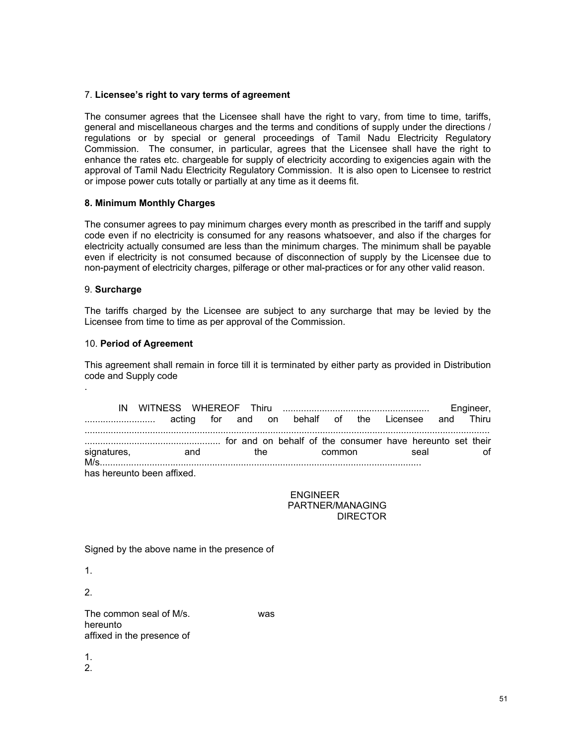# 7. **Licensee's right to vary terms of agreement**

The consumer agrees that the Licensee shall have the right to vary, from time to time, tariffs, general and miscellaneous charges and the terms and conditions of supply under the directions / regulations or by special or general proceedings of Tamil Nadu Electricity Regulatory Commission. The consumer, in particular, agrees that the Licensee shall have the right to enhance the rates etc. chargeable for supply of electricity according to exigencies again with the approval of Tamil Nadu Electricity Regulatory Commission. It is also open to Licensee to restrict or impose power cuts totally or partially at any time as it deems fit.

# **8. Minimum Monthly Charges**

The consumer agrees to pay minimum charges every month as prescribed in the tariff and supply code even if no electricity is consumed for any reasons whatsoever, and also if the charges for electricity actually consumed are less than the minimum charges. The minimum shall be payable even if electricity is not consumed because of disconnection of supply by the Licensee due to non-payment of electricity charges, pilferage or other mal-practices or for any other valid reason.

# 9. **Surcharge**

The tariffs charged by the Licensee are subject to any surcharge that may be levied by the Licensee from time to time as per approval of the Commission.

# 10. **Period of Agreement**

This agreement shall remain in force till it is terminated by either party as provided in Distribution code and Supply code

|                            |                                                    |  |      |  |        |  |      | Engineer, |
|----------------------------|----------------------------------------------------|--|------|--|--------|--|------|-----------|
|                            | acting for and on behalf of the Licensee and Thiru |  |      |  |        |  |      |           |
|                            |                                                    |  |      |  |        |  |      |           |
| signatures,<br>$M/s$       | and                                                |  | the. |  | common |  | seal |           |
| has hereunto been affixed. |                                                    |  |      |  |        |  |      |           |

 ENGINEER PARTNER/MANAGING DIRECTOR

Signed by the above name in the presence of

1.

.

2.

The common seal of M/s. was hereunto affixed in the presence of

1.

2.